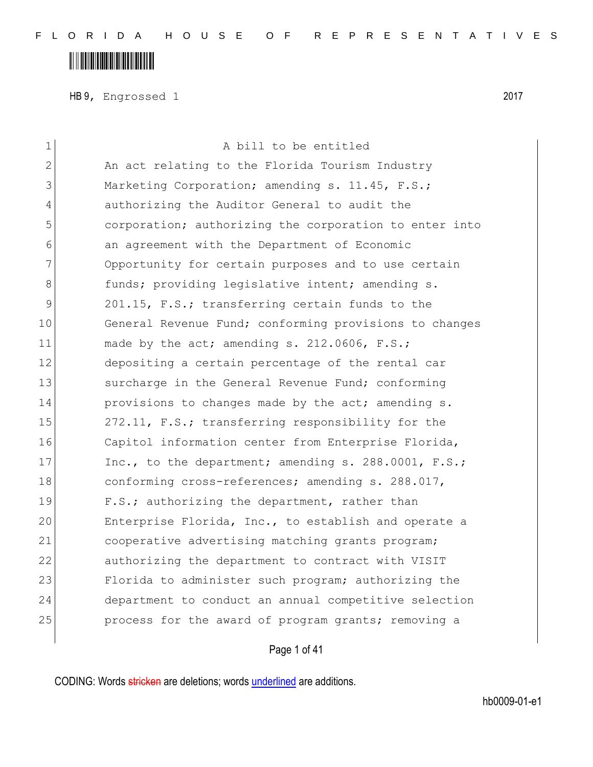## 

HB 9, Engrossed 1 2017

| $\mathbf 1$    | A bill to be entitled                                  |
|----------------|--------------------------------------------------------|
| $\overline{2}$ | An act relating to the Florida Tourism Industry        |
| 3              | Marketing Corporation; amending s. 11.45, F.S.;        |
| 4              | authorizing the Auditor General to audit the           |
| 5              | corporation; authorizing the corporation to enter into |
| 6              | an agreement with the Department of Economic           |
| 7              | Opportunity for certain purposes and to use certain    |
| 8              | funds; providing legislative intent; amending s.       |
| 9              | 201.15, F.S.; transferring certain funds to the        |
| 10             | General Revenue Fund; conforming provisions to changes |
| 11             | made by the act; amending s. 212.0606, F.S.;           |
| 12             | depositing a certain percentage of the rental car      |
| 13             | surcharge in the General Revenue Fund; conforming      |
| 14             | provisions to changes made by the act; amending s.     |
| 15             | 272.11, F.S.; transferring responsibility for the      |
| 16             | Capitol information center from Enterprise Florida,    |
| 17             | Inc., to the department; amending s. 288.0001, F.S.;   |
| 18             | conforming cross-references; amending s. 288.017,      |
| 19             | F.S.; authorizing the department, rather than          |
| 20             | Enterprise Florida, Inc., to establish and operate a   |
| 21             | cooperative advertising matching grants program;       |
| 22             | authorizing the department to contract with VISIT      |
| 23             | Florida to administer such program; authorizing the    |
| 24             | department to conduct an annual competitive selection  |
| 25             | process for the award of program grants; removing a    |
|                |                                                        |

Page 1 of 41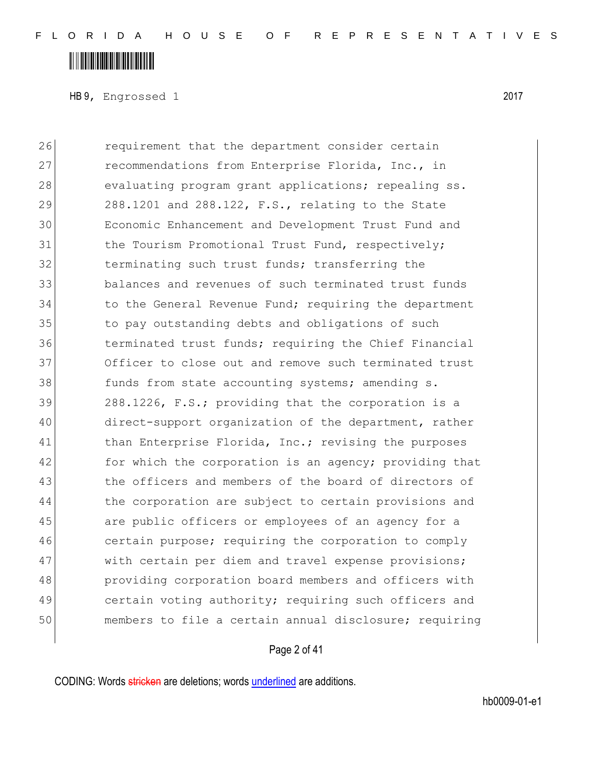### <u> A Alban Martin Alban II</u>

HB 9, Engrossed 1 2017

26 **requirement that the department consider certain** 27 recommendations from Enterprise Florida, Inc., in 28 evaluating program grant applications; repealing ss. 29 288.1201 and 288.122, F.S., relating to the State 30 Economic Enhancement and Development Trust Fund and 31 the Tourism Promotional Trust Fund, respectively; 32 terminating such trust funds; transferring the 33 balances and revenues of such terminated trust funds 34 to the General Revenue Fund; requiring the department 35 to pay outstanding debts and obligations of such 36 terminated trust funds; requiring the Chief Financial 37 Officer to close out and remove such terminated trust 38 funds from state accounting systems; amending s. 39 288.1226, F.S.; providing that the corporation is a 40 direct-support organization of the department, rather 41 than Enterprise Florida, Inc.; revising the purposes 42 for which the corporation is an agency; providing that 43 the officers and members of the board of directors of 44 the corporation are subject to certain provisions and 45 are public officers or employees of an agency for a 46 certain purpose; requiring the corporation to comply 47 with certain per diem and travel expense provisions; 48 **providing corporation board members and officers with** 49 certain voting authority; requiring such officers and 50 members to file a certain annual disclosure; requiring

#### Page 2 of 41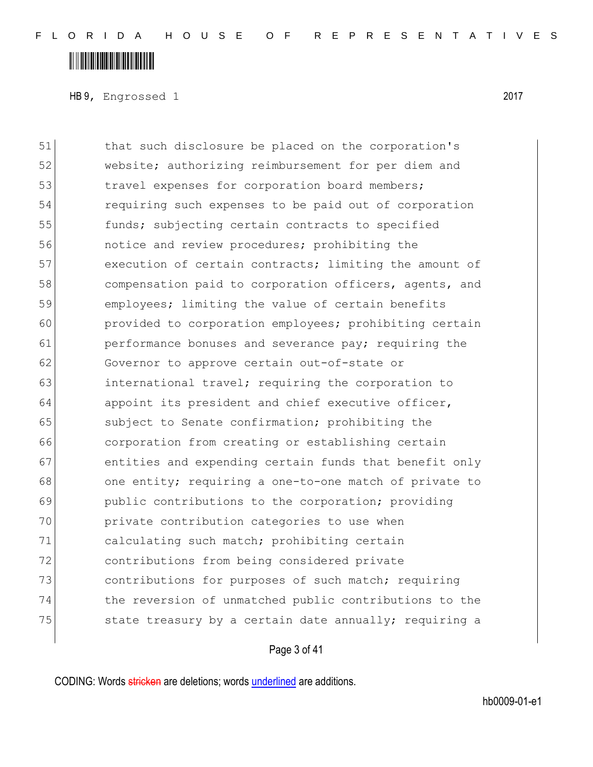### <u> A Alban Martin Alban II</u>

HB 9, Engrossed 1 2017

51 that such disclosure be placed on the corporation's 52 website; authorizing reimbursement for per diem and 53 travel expenses for corporation board members; 54 requiring such expenses to be paid out of corporation 55 funds; subjecting certain contracts to specified 56 notice and review procedures; prohibiting the 57 execution of certain contracts; limiting the amount of 58 compensation paid to corporation officers, agents, and 59 employees; limiting the value of certain benefits 60 provided to corporation employees; prohibiting certain 61 **performance bonuses and severance pay;** requiring the 62 Governor to approve certain out-of-state or 63 **international travel; requiring the corporation to** 64 appoint its president and chief executive officer, 65 subject to Senate confirmation; prohibiting the 66 corporation from creating or establishing certain 67 entities and expending certain funds that benefit only 68 one entity; requiring a one-to-one match of private to 69 public contributions to the corporation; providing 70 private contribution categories to use when 71 calculating such match; prohibiting certain 72 contributions from being considered private 73 contributions for purposes of such match; requiring 74 the reversion of unmatched public contributions to the 75  $\vert$  state treasury by a certain date annually; requiring a

Page 3 of 41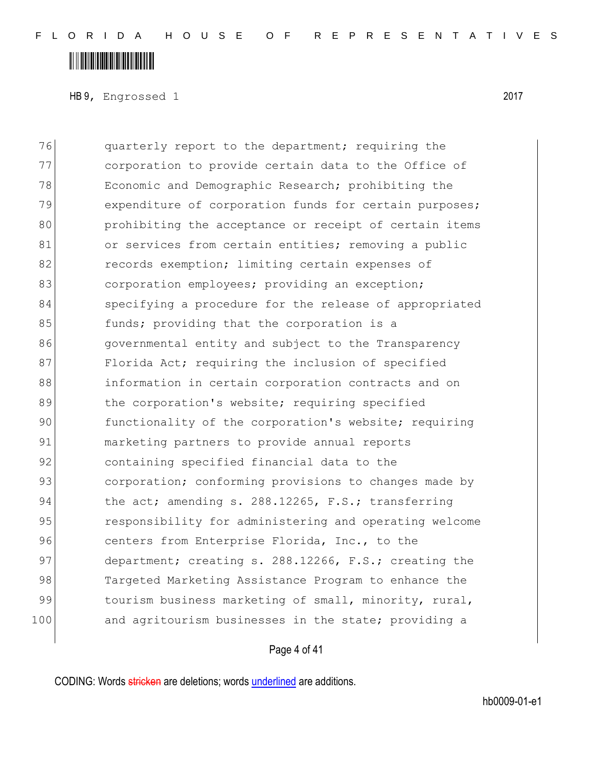## <u> A Alban Martin Alban II</u>

HB 9, Engrossed 1 2017

76 quarterly report to the department; requiring the 77 corporation to provide certain data to the Office of 78 Economic and Demographic Research; prohibiting the 79 expenditure of corporation funds for certain purposes; 80 prohibiting the acceptance or receipt of certain items 81 or services from certain entities; removing a public 82 records exemption; limiting certain expenses of 83 corporation employees; providing an exception; 84 specifying a procedure for the release of appropriated 85 **funds;** providing that the corporation is a 86 governmental entity and subject to the Transparency 87 Florida Act; requiring the inclusion of specified 88 information in certain corporation contracts and on 89 bloophoration's website; requiring specified 90 functionality of the corporation's website; requiring 91 marketing partners to provide annual reports 92 containing specified financial data to the 93 corporation; conforming provisions to changes made by 94 the act; amending s. 288.12265, F.S.; transferring 95 responsibility for administering and operating welcome 96 centers from Enterprise Florida, Inc., to the 97 department; creating s. 288.12266, F.S.; creating the 98 Targeted Marketing Assistance Program to enhance the 99 tourism business marketing of small, minority, rural, 100 and agritourism businesses in the state; providing a

Page 4 of 41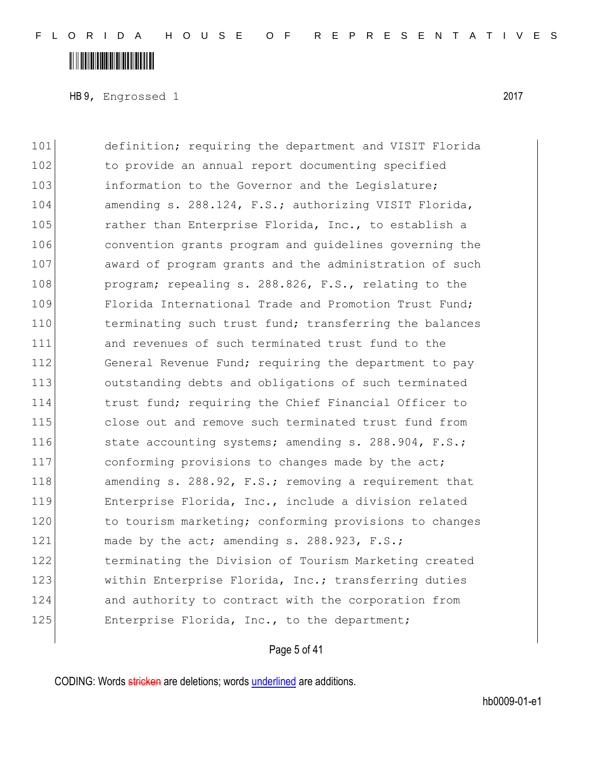### **IN THE REAL PROPERTY OF A SET OF A SET OF A SET OF A SET OF A SET OF A SET OF A SET OF A SET OF A SET OF A**

HB 9, Engrossed 1 2017

101 definition; requiring the department and VISIT Florida 102 to provide an annual report documenting specified 103 information to the Governor and the Legislature; 104 amending s. 288.124, F.S.; authorizing VISIT Florida, 105 rather than Enterprise Florida, Inc., to establish a 106 convention grants program and guidelines governing the 107 award of program grants and the administration of such 108 program; repealing s. 288.826, F.S., relating to the 109 Florida International Trade and Promotion Trust Fund; 110 terminating such trust fund; transferring the balances 111 and revenues of such terminated trust fund to the 112 General Revenue Fund; requiring the department to pay 113 outstanding debts and obligations of such terminated 114 114 trust fund; requiring the Chief Financial Officer to 115 close out and remove such terminated trust fund from 116 state accounting systems; amending s. 288.904, F.S.; 117 conforming provisions to changes made by the act; 118 amending s. 288.92, F.S.; removing a requirement that 119 **Enterprise Florida, Inc., include a division related** 120 to tourism marketing; conforming provisions to changes 121 made by the act; amending s. 288.923, F.S.; 122 terminating the Division of Tourism Marketing created 123 Within Enterprise Florida, Inc.; transferring duties 124 and authority to contract with the corporation from 125 Enterprise Florida, Inc., to the department;

Page 5 of 41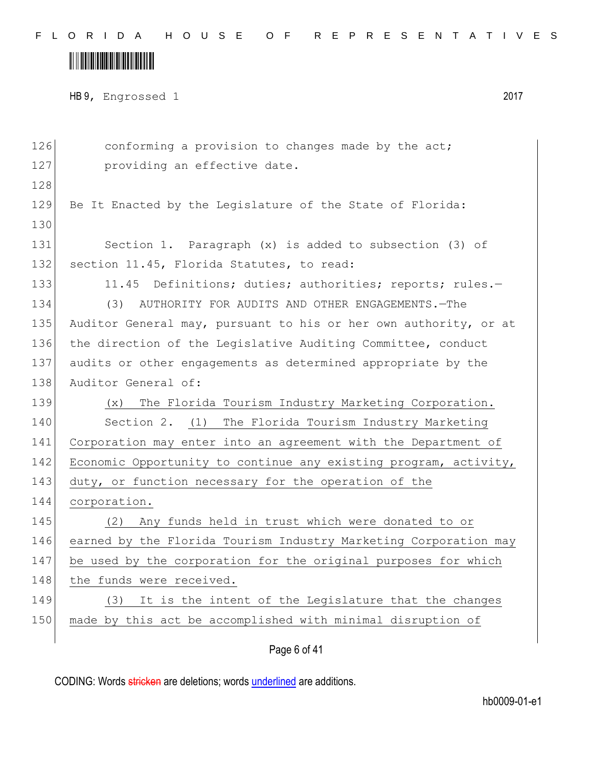## 

HB 9, Engrossed 1 2017

| 126 | conforming a provision to changes made by the act;               |
|-----|------------------------------------------------------------------|
| 127 | providing an effective date.                                     |
| 128 |                                                                  |
| 129 | Be It Enacted by the Legislature of the State of Florida:        |
| 130 |                                                                  |
| 131 | Section 1. Paragraph (x) is added to subsection (3) of           |
| 132 | section 11.45, Florida Statutes, to read:                        |
| 133 | 11.45 Definitions; duties; authorities; reports; rules.-         |
| 134 | (3) AUTHORITY FOR AUDITS AND OTHER ENGAGEMENTS. - The            |
| 135 | Auditor General may, pursuant to his or her own authority, or at |
| 136 | the direction of the Legislative Auditing Committee, conduct     |
| 137 | audits or other engagements as determined appropriate by the     |
| 138 | Auditor General of:                                              |
|     |                                                                  |
| 139 | The Florida Tourism Industry Marketing Corporation.<br>(x)       |
| 140 | Section 2. (1) The Florida Tourism Industry Marketing            |
| 141 | Corporation may enter into an agreement with the Department of   |
| 142 | Economic Opportunity to continue any existing program, activity, |
| 143 | duty, or function necessary for the operation of the             |
| 144 | corporation.                                                     |
| 145 | Any funds held in trust which were donated to or<br>(2)          |
| 146 | earned by the Florida Tourism Industry Marketing Corporation may |
| 147 | be used by the corporation for the original purposes for which   |
| 148 | the funds were received.                                         |
| 149 | It is the intent of the Legislature that the changes<br>(3)      |
| 150 | made by this act be accomplished with minimal disruption of      |

Page 6 of 41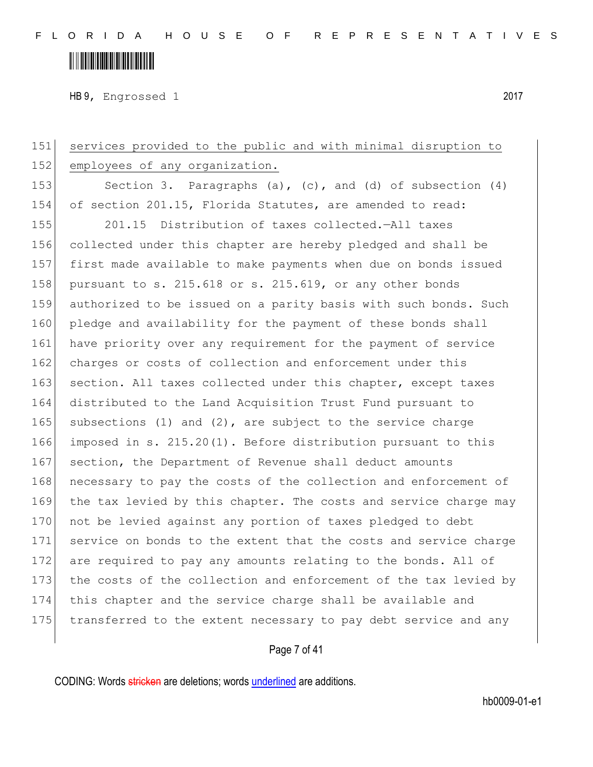HB 9, Engrossed 1 2017

151 services provided to the public and with minimal disruption to 152 employees of any organization. 153 Section 3. Paragraphs (a), (c), and (d) of subsection (4) 154 of section 201.15, Florida Statutes, are amended to read: 155 201.15 Distribution of taxes collected.—All taxes 156 collected under this chapter are hereby pledged and shall be 157 first made available to make payments when due on bonds issued 158 pursuant to s. 215.618 or s. 215.619, or any other bonds 159 authorized to be issued on a parity basis with such bonds. Such 160 pledge and availability for the payment of these bonds shall 161 have priority over any requirement for the payment of service 162 charges or costs of collection and enforcement under this 163 section. All taxes collected under this chapter, except taxes 164 distributed to the Land Acquisition Trust Fund pursuant to 165 subsections (1) and (2), are subject to the service charge 166 imposed in s. 215.20(1). Before distribution pursuant to this 167 section, the Department of Revenue shall deduct amounts 168 necessary to pay the costs of the collection and enforcement of 169 the tax levied by this chapter. The costs and service charge may 170 not be levied against any portion of taxes pledged to debt 171 service on bonds to the extent that the costs and service charge 172 are required to pay any amounts relating to the bonds. All of 173 the costs of the collection and enforcement of the tax levied by 174 this chapter and the service charge shall be available and 175 transferred to the extent necessary to pay debt service and any

Page 7 of 41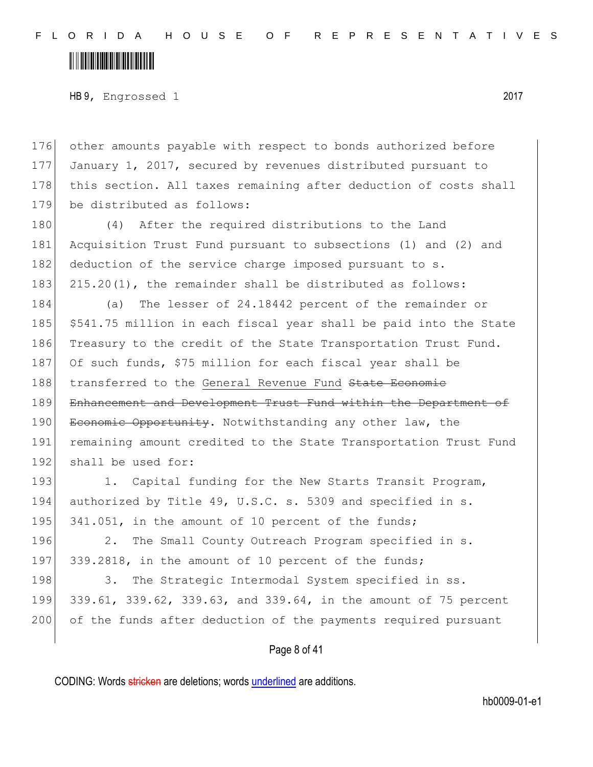### <u> III III III III III III III III II</u>

HB 9, Engrossed 1 2017

176 other amounts payable with respect to bonds authorized before 177 January 1, 2017, secured by revenues distributed pursuant to 178 this section. All taxes remaining after deduction of costs shall 179 be distributed as follows:

180 (4) After the required distributions to the Land 181 Acquisition Trust Fund pursuant to subsections (1) and (2) and 182 deduction of the service charge imposed pursuant to s. 183 215.20(1), the remainder shall be distributed as follows:

184 (a) The lesser of 24.18442 percent of the remainder or 185 \$541.75 million in each fiscal year shall be paid into the State 186 Treasury to the credit of the State Transportation Trust Fund. 187 Of such funds, \$75 million for each fiscal year shall be 188 transferred to the General Revenue Fund State Economic 189 Enhancement and Development Trust Fund within the Department of 190 Economic Opportunity. Notwithstanding any other law, the 191 remaining amount credited to the State Transportation Trust Fund 192 shall be used for:

193 1. Capital funding for the New Starts Transit Program, 194 authorized by Title 49, U.S.C. s. 5309 and specified in s. 195 341.051, in the amount of 10 percent of the funds;

196 2. The Small County Outreach Program specified in s. 197 339.2818, in the amount of 10 percent of the funds;

198 3. The Strategic Intermodal System specified in ss. 199 339.61, 339.62, 339.63, and 339.64, in the amount of 75 percent 200 of the funds after deduction of the payments required pursuant

Page 8 of 41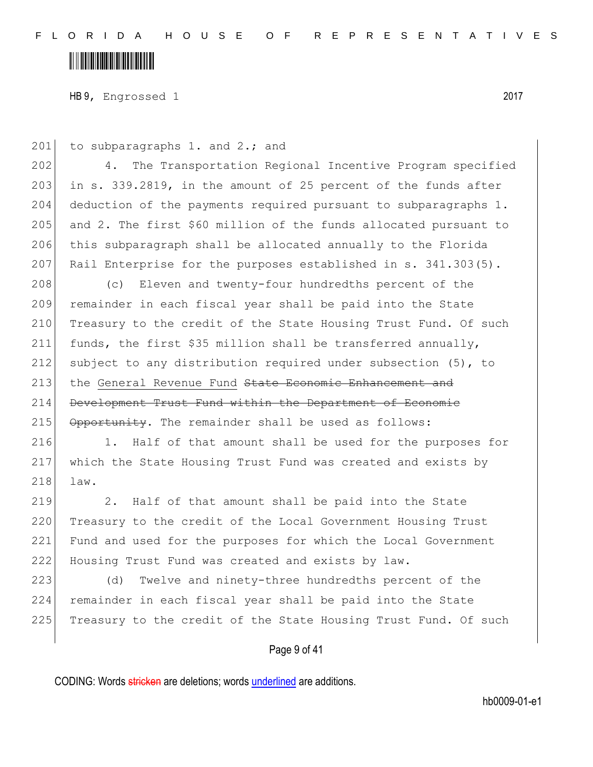HB 9, Engrossed 1 2017

201 to subparagraphs 1. and 2.; and

202 4. The Transportation Regional Incentive Program specified 203 in s. 339.2819, in the amount of 25 percent of the funds after 204 deduction of the payments required pursuant to subparagraphs 1. 205 and 2. The first \$60 million of the funds allocated pursuant to 206 this subparagraph shall be allocated annually to the Florida 207 Rail Enterprise for the purposes established in s. 341.303(5).

208 (c) Eleven and twenty-four hundredths percent of the remainder in each fiscal year shall be paid into the State 210 Treasury to the credit of the State Housing Trust Fund. Of such funds, the first \$35 million shall be transferred annually, subject to any distribution required under subsection (5), to 213 the General Revenue Fund State Economic Enhancement and Development Trust Fund within the Department of Economic Opportunity. The remainder shall be used as follows:

216 1. Half of that amount shall be used for the purposes for 217 which the State Housing Trust Fund was created and exists by 218 law.

219 2. Half of that amount shall be paid into the State 220 Treasury to the credit of the Local Government Housing Trust 221 Fund and used for the purposes for which the Local Government 222 Housing Trust Fund was created and exists by law.

223 (d) Twelve and ninety-three hundredths percent of the 224 remainder in each fiscal year shall be paid into the State 225 Treasury to the credit of the State Housing Trust Fund. Of such

#### Page 9 of 41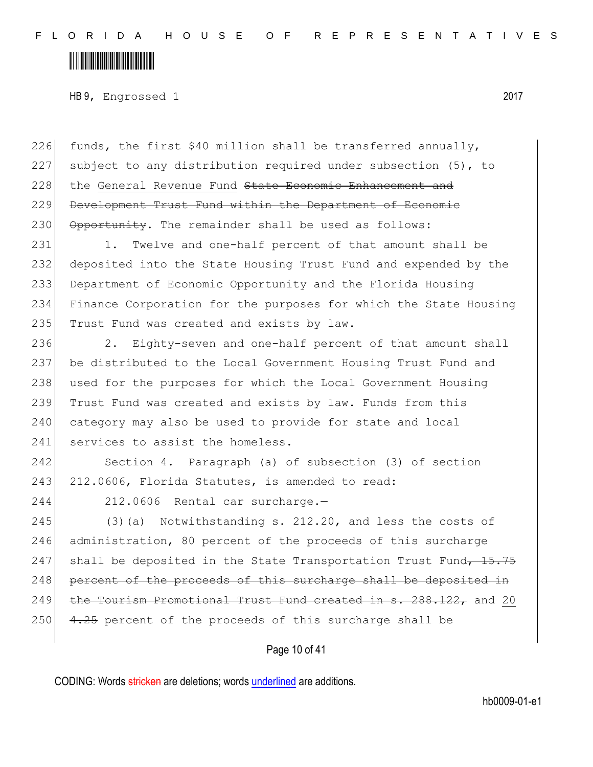HB 9, Engrossed 1 2017

226 funds, the first \$40 million shall be transferred annually, 227 subject to any distribution required under subsection (5), to 228 the General Revenue Fund State Economic Enhancement and 229 Development Trust Fund within the Department of Economic 230 Opportunity. The remainder shall be used as follows:

231 1. Twelve and one-half percent of that amount shall be 232 deposited into the State Housing Trust Fund and expended by the 233 Department of Economic Opportunity and the Florida Housing 234 Finance Corporation for the purposes for which the State Housing 235 Trust Fund was created and exists by law.

236 2. Eighty-seven and one-half percent of that amount shall 237 be distributed to the Local Government Housing Trust Fund and 238 used for the purposes for which the Local Government Housing 239 Trust Fund was created and exists by law. Funds from this 240 category may also be used to provide for state and local 241 services to assist the homeless.

242 Section 4. Paragraph (a) of subsection (3) of section 243 212.0606, Florida Statutes, is amended to read:

244 212.0606 Rental car surcharge.—

 $245$  (3)(a) Notwithstanding s. 212.20, and less the costs of 246 administration, 80 percent of the proceeds of this surcharge 247 shall be deposited in the State Transportation Trust Fund $\overline{,)}$  15.75 248 percent of the proceeds of this surcharge shall be deposited in 249 the Tourism Promotional Trust Fund created in  $s. 288.122$ , and 20 250  $\left( 4.25 \right)$  percent of the proceeds of this surcharge shall be

Page 10 of 41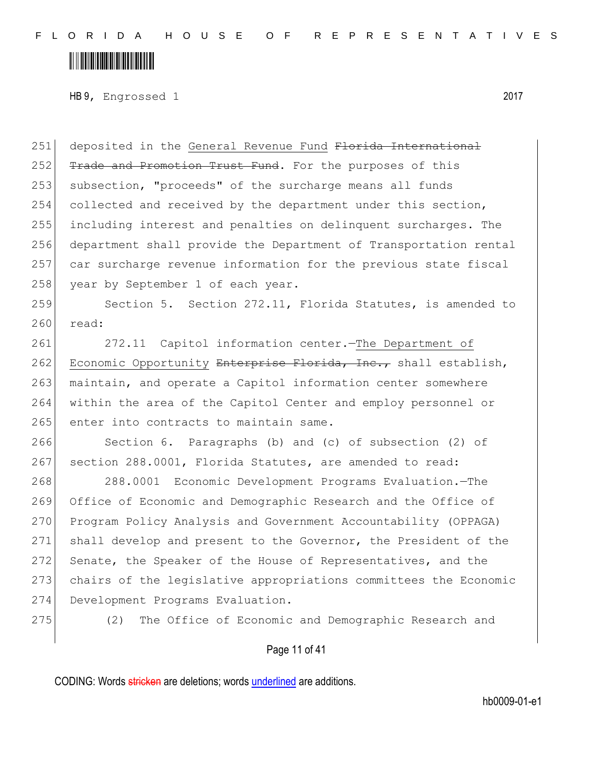## <u> III III III III III III III III II</u>

HB 9, Engrossed 1 2017

251 deposited in the General Revenue Fund Florida International 252 Trade and Promotion Trust Fund. For the purposes of this 253 subsection, "proceeds" of the surcharge means all funds 254 collected and received by the department under this section, 255 including interest and penalties on delinquent surcharges. The 256 department shall provide the Department of Transportation rental 257 car surcharge revenue information for the previous state fiscal 258 year by September 1 of each year.

259 Section 5. Section 272.11, Florida Statutes, is amended to 260 read:

261 272.11 Capitol information center.—The Department of 262 Economic Opportunity Enterprise Florida, Inc., shall establish, 263 maintain, and operate a Capitol information center somewhere 264 within the area of the Capitol Center and employ personnel or 265 enter into contracts to maintain same.

266 Section 6. Paragraphs (b) and (c) of subsection (2) of 267 section 288.0001, Florida Statutes, are amended to read:

268 288.0001 Economic Development Programs Evaluation.—The 269 Office of Economic and Demographic Research and the Office of 270 Program Policy Analysis and Government Accountability (OPPAGA) 271 shall develop and present to the Governor, the President of the 272 Senate, the Speaker of the House of Representatives, and the 273 chairs of the legislative appropriations committees the Economic 274 Development Programs Evaluation.

275 (2) The Office of Economic and Demographic Research and

#### Page 11 of 41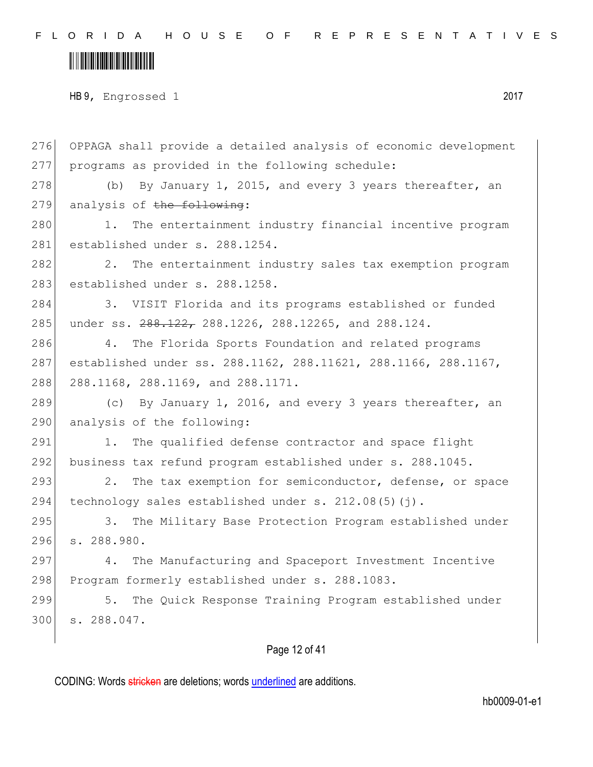#### <u> III III III III III III III III II</u>

HB 9, Engrossed 1 2017

276 OPPAGA shall provide a detailed analysis of economic development 277 programs as provided in the following schedule: 278  $\vert$  (b) By January 1, 2015, and every 3 years thereafter, an  $279$  analysis of the following: 280 1. The entertainment industry financial incentive program 281 established under s. 288.1254. 282 202. The entertainment industry sales tax exemption program 283 established under s. 288.1258. 284 3. VISIT Florida and its programs established or funded 285 under ss.  $288.122$ , 288.1226, 288.12265, and 288.124. 286 4. The Florida Sports Foundation and related programs 287 established under ss. 288.1162, 288.11621, 288.1166, 288.1167, 288 288.1168, 288.1169, and 288.1171. 289 (c) By January 1, 2016, and every 3 years thereafter, an 290 analysis of the following: 291 1. The qualified defense contractor and space flight 292 business tax refund program established under s. 288.1045. 293 2. The tax exemption for semiconductor, defense, or space 294 technology sales established under s.  $212.08(5)(i)$ . 295 3. The Military Base Protection Program established under 296 s. 288.980. 297 4. The Manufacturing and Spaceport Investment Incentive 298 Program formerly established under s. 288.1083. 299 5. The Quick Response Training Program established under 300 s. 288.047.

Page 12 of 41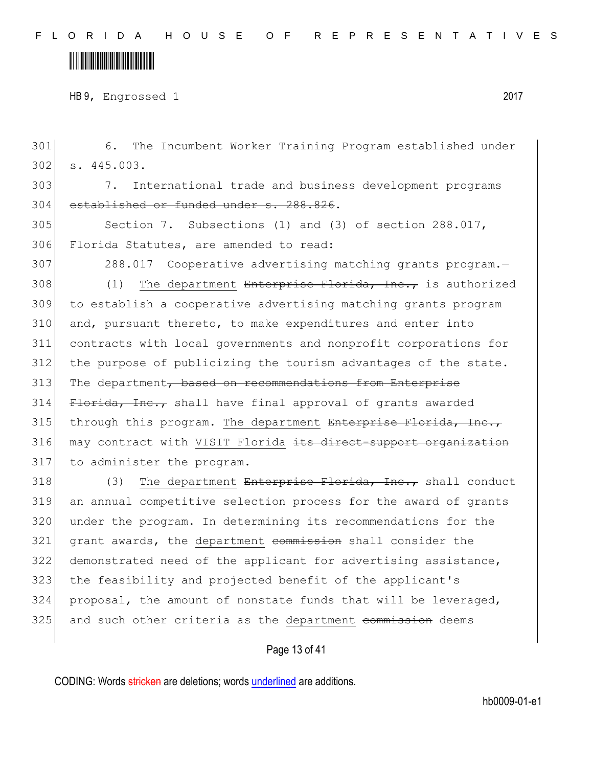HB 9, Engrossed 1 2017

301 6. The Incumbent Worker Training Program established under 302 s. 445.003.

303 7. International trade and business development programs 304 established or funded under s. 288.826.

305 Section 7. Subsections (1) and (3) of section 288.017, 306 Florida Statutes, are amended to read:

307 288.017 Cooperative advertising matching grants program.—

308 (1) The department Enterprise Florida, Inc., is authorized 309 to establish a cooperative advertising matching grants program 310 and, pursuant thereto, to make expenditures and enter into 311 contracts with local governments and nonprofit corporations for 312 the purpose of publicizing the tourism advantages of the state. 313 The department, based on recommendations from Enterprise  $314$  Florida, Inc., shall have final approval of grants awarded  $315$  through this program. The department Enterprise Florida, Inc., 316 may contract with VISIT Florida its direct-support organization 317 to administer the program.

318 (3) The department Enterprise Florida, Inc., shall conduct 319 an annual competitive selection process for the award of grants 320 under the program. In determining its recommendations for the 321 grant awards, the department commission shall consider the 322 demonstrated need of the applicant for advertising assistance, 323 the feasibility and projected benefit of the applicant's 324 proposal, the amount of nonstate funds that will be leveraged, 325 and such other criteria as the department commission deems

#### Page 13 of 41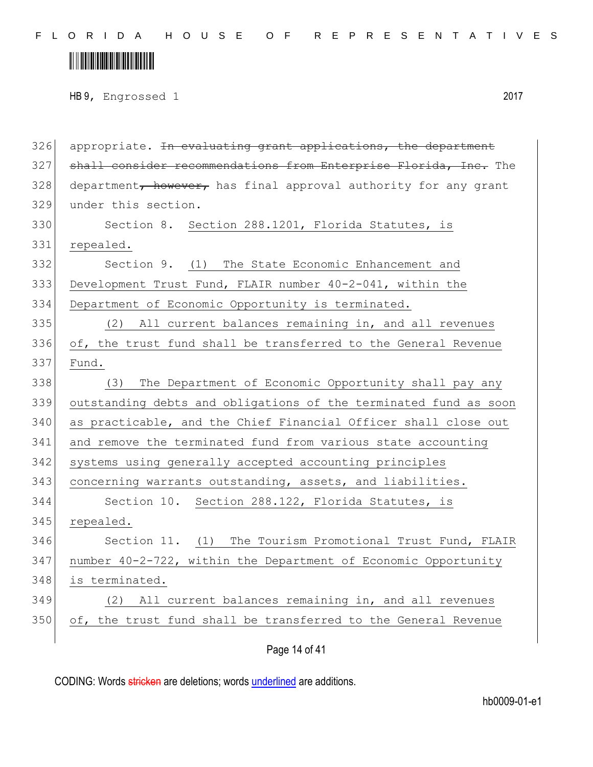## <u> III III III III III III III III II</u>

HB 9, Engrossed 1 2017

 appropriate. In evaluating grant applications, the department 327 shall consider recommendations from Enterprise Florida, Inc. The department, however, has final approval authority for any grant 329 under this section. Section 8. Section 288.1201, Florida Statutes, is repealed. Section 9. (1) The State Economic Enhancement and Development Trust Fund, FLAIR number 40-2-041, within the Department of Economic Opportunity is terminated. (2) All current balances remaining in, and all revenues of, the trust fund shall be transferred to the General Revenue Fund. 338 (3) The Department of Economic Opportunity shall pay any outstanding debts and obligations of the terminated fund as soon as practicable, and the Chief Financial Officer shall close out and remove the terminated fund from various state accounting systems using generally accepted accounting principles concerning warrants outstanding, assets, and liabilities. Section 10. Section 288.122, Florida Statutes, is repealed. 346 Section 11. (1) The Tourism Promotional Trust Fund, FLAIR number 40-2-722, within the Department of Economic Opportunity is terminated. (2) All current balances remaining in, and all revenues 350 of, the trust fund shall be transferred to the General Revenue

Page 14 of 41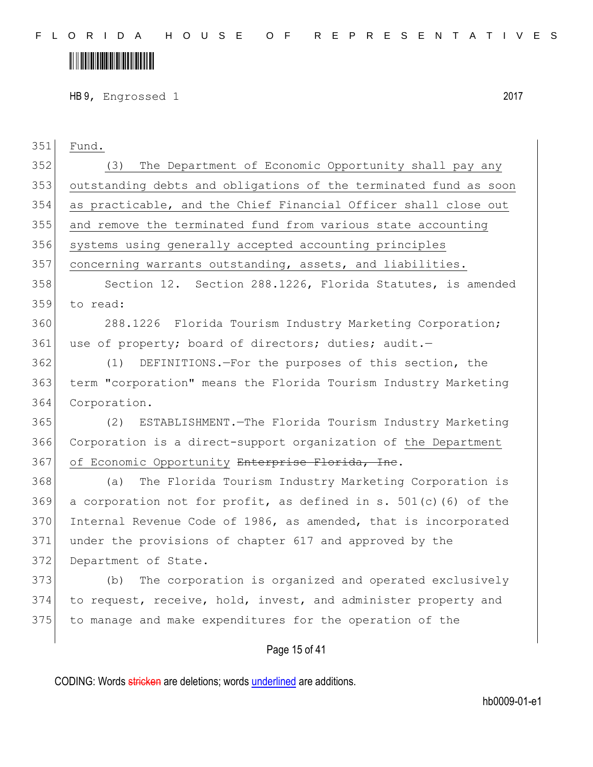## 

HB 9, Engrossed 1 2017

| 351 | Fund.                                                              |
|-----|--------------------------------------------------------------------|
| 352 | The Department of Economic Opportunity shall pay any<br>(3)        |
| 353 | outstanding debts and obligations of the terminated fund as soon   |
| 354 | as practicable, and the Chief Financial Officer shall close out    |
| 355 | and remove the terminated fund from various state accounting       |
| 356 | systems using generally accepted accounting principles             |
| 357 | concerning warrants outstanding, assets, and liabilities.          |
| 358 | Section 12. Section 288.1226, Florida Statutes, is amended         |
| 359 | to read:                                                           |
| 360 | 288.1226 Florida Tourism Industry Marketing Corporation;           |
| 361 | use of property; board of directors; duties; audit.-               |
| 362 | DEFINITIONS. - For the purposes of this section, the<br>(1)        |
| 363 | term "corporation" means the Florida Tourism Industry Marketing    |
| 364 | Corporation.                                                       |
| 365 | ESTABLISHMENT. - The Florida Tourism Industry Marketing<br>(2)     |
| 366 | Corporation is a direct-support organization of the Department     |
| 367 | of Economic Opportunity Enterprise Florida, Ine.                   |
| 368 | The Florida Tourism Industry Marketing Corporation is<br>(a)       |
| 369 | a corporation not for profit, as defined in s. $501(c)$ (6) of the |
| 370 | Internal Revenue Code of 1986, as amended, that is incorporated    |
| 371 | under the provisions of chapter 617 and approved by the            |
| 372 | Department of State.                                               |
| 373 | The corporation is organized and operated exclusively<br>(b)       |
| 374 | to request, receive, hold, invest, and administer property and     |
| 375 | to manage and make expenditures for the operation of the           |
|     | Page 15 of 41                                                      |
|     |                                                                    |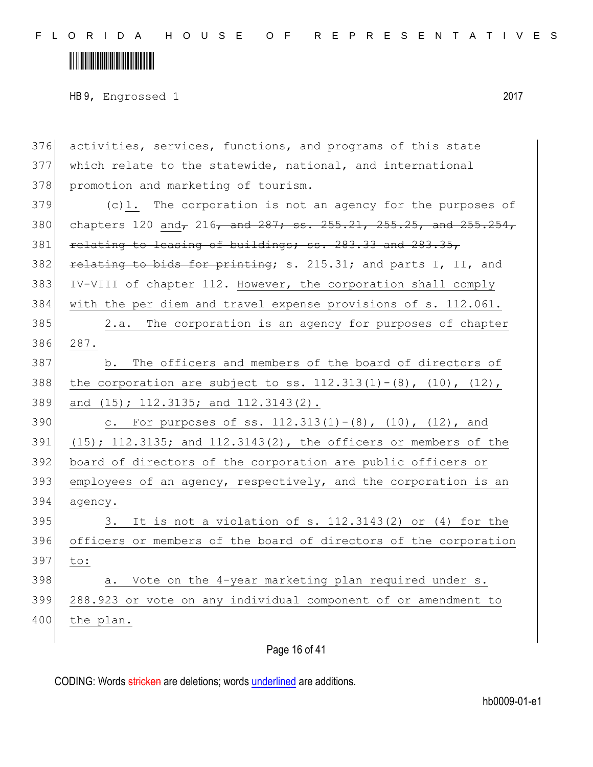### <u> III III III III III III III III II</u>

HB 9, Engrossed 1 2017

376 activities, services, functions, and programs of this state 377 which relate to the statewide, national, and international 378 promotion and marketing of tourism. 379 (c)1. The corporation is not an agency for the purposes of 380 chapters 120 and, 216, and 287; ss. 255.21, 255.25, and 255.254, 381 relating to leasing of buildings; ss. 283.33 and 283.35, 382 relating to bids for printing; s. 215.31; and parts I, II, and 383 IV-VIII of chapter 112. However, the corporation shall comply 384 with the per diem and travel expense provisions of s. 112.061. 385 2.a. The corporation is an agency for purposes of chapter 386 287. 387 b. The officers and members of the board of directors of 388 the corporation are subject to ss.  $112.313(1) - (8)$ ,  $(10)$ ,  $(12)$ , 389 and (15); 112.3135; and 112.3143(2). 390 c. For purposes of ss.  $112.313(1) - (8)$ ,  $(10)$ ,  $(12)$ , and 391 (15); 112.3135; and 112.3143(2), the officers or members of the 392 board of directors of the corporation are public officers or 393 employees of an agency, respectively, and the corporation is an 394 agency.  $395$  3. It is not a violation of s. 112.3143(2) or (4) for the 396 officers or members of the board of directors of the corporation 397 to: 398 a. Vote on the 4-year marketing plan required under s. 399 288.923 or vote on any individual component of or amendment to 400 the plan.

Page 16 of 41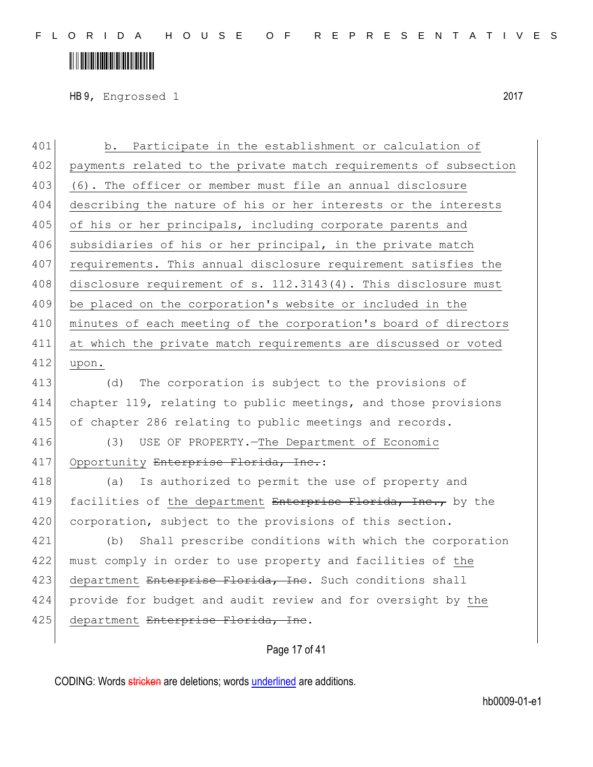## <u> III III III III III III III III II</u>

HB 9, Engrossed 1 2017

401 b. Participate in the establishment or calculation of 402 payments related to the private match requirements of subsection 403 (6). The officer or member must file an annual disclosure 404 describing the nature of his or her interests or the interests 405 of his or her principals, including corporate parents and 406 subsidiaries of his or her principal, in the private match 407 requirements. This annual disclosure requirement satisfies the 408 disclosure requirement of s. 112.3143(4). This disclosure must 409 be placed on the corporation's website or included in the 410 minutes of each meeting of the corporation's board of directors 411 at which the private match requirements are discussed or voted 412 upon.

413 (d) The corporation is subject to the provisions of 414 chapter 119, relating to public meetings, and those provisions 415 of chapter 286 relating to public meetings and records.

416 (3) USE OF PROPERTY.—The Department of Economic 417 Opportunity Enterprise Florida, Inc.:

418 (a) Is authorized to permit the use of property and 419 facilities of the department Enterprise Florida, Inc., by the 420 corporation, subject to the provisions of this section.

421 (b) Shall prescribe conditions with which the corporation 422 must comply in order to use property and facilities of the 423 department Enterprise Florida, Inc. Such conditions shall 424 provide for budget and audit review and for oversight by the 425 department Enterprise Florida, Inc.

#### Page 17 of 41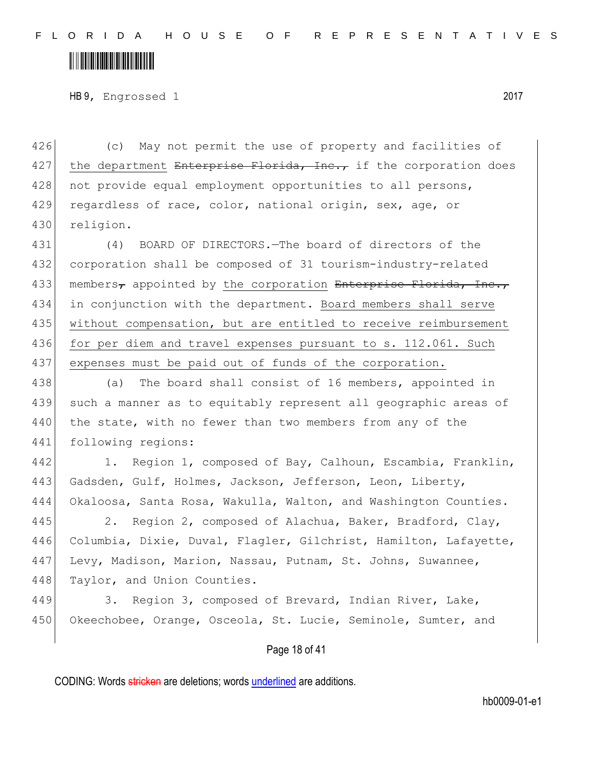### <u> III III III III III III III III II</u>

HB 9, Engrossed 1 2017

426 (c) May not permit the use of property and facilities of 427 the department Enterprise Florida, Inc., if the corporation does 428 not provide equal employment opportunities to all persons, 429 regardless of race, color, national origin, sex, age, or 430 religion.

431 (4) BOARD OF DIRECTORS.—The board of directors of the 432 corporation shall be composed of 31 tourism-industry-related 433 members, appointed by the corporation Enterprise Florida, Inc., 434 in conjunction with the department. Board members shall serve 435 without compensation, but are entitled to receive reimbursement 436 for per diem and travel expenses pursuant to s. 112.061. Such 437 expenses must be paid out of funds of the corporation.

438 (a) The board shall consist of 16 members, appointed in 439 such a manner as to equitably represent all geographic areas of 440 the state, with no fewer than two members from any of the 441 following regions:

442 1. Region 1, composed of Bay, Calhoun, Escambia, Franklin, 443 Gadsden, Gulf, Holmes, Jackson, Jefferson, Leon, Liberty, 444 Okaloosa, Santa Rosa, Wakulla, Walton, and Washington Counties.

445 2. Region 2, composed of Alachua, Baker, Bradford, Clay, 446 Columbia, Dixie, Duval, Flagler, Gilchrist, Hamilton, Lafayette, 447 Levy, Madison, Marion, Nassau, Putnam, St. Johns, Suwannee, 448 Taylor, and Union Counties.

449 3. Region 3, composed of Brevard, Indian River, Lake, 450 Okeechobee, Orange, Osceola, St. Lucie, Seminole, Sumter, and

#### Page 18 of 41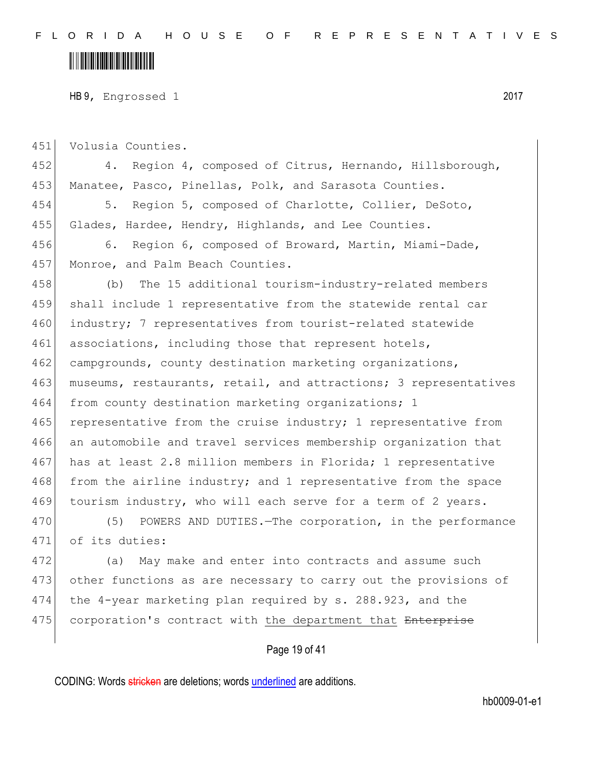#### <u> III III III III III III III III II</u>

HB 9, Engrossed 1 2017

451 Volusia Counties. 452 4. Region 4, composed of Citrus, Hernando, Hillsborough, 453 Manatee, Pasco, Pinellas, Polk, and Sarasota Counties. 454 5. Region 5, composed of Charlotte, Collier, DeSoto, 455 Glades, Hardee, Hendry, Highlands, and Lee Counties. 456 6. Region 6, composed of Broward, Martin, Miami-Dade, 457 Monroe, and Palm Beach Counties. 458 (b) The 15 additional tourism-industry-related members 459 shall include 1 representative from the statewide rental car 460 industry; 7 representatives from tourist-related statewide 461 associations, including those that represent hotels, 462 campgrounds, county destination marketing organizations, 463 museums, restaurants, retail, and attractions; 3 representatives 464 from county destination marketing organizations; 1  $465$  representative from the cruise industry; 1 representative from 466 an automobile and travel services membership organization that 467 has at least 2.8 million members in Florida; 1 representative 468 from the airline industry; and 1 representative from the space 469 tourism industry, who will each serve for a term of 2 years. 470 (5) POWERS AND DUTIES. The corporation, in the performance 471 of its duties: 472 (a) May make and enter into contracts and assume such

473 other functions as are necessary to carry out the provisions of 474 the 4-year marketing plan required by s. 288.923, and the 475 corporation's contract with the department that Enterprise

#### Page 19 of 41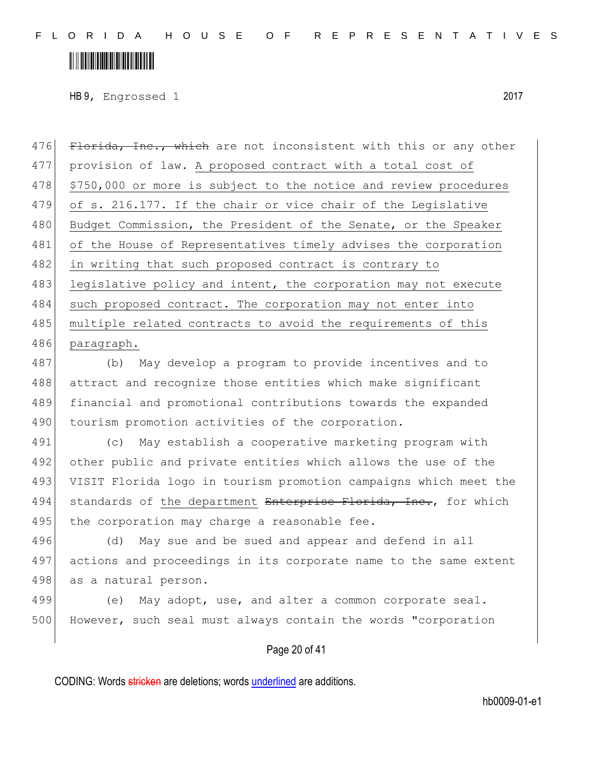### <u> III III III III III III III III II</u>

HB 9, Engrossed 1 2017

476 Florida, Inc., which are not inconsistent with this or any other 477 provision of law. A proposed contract with a total cost of 478 \$750,000 or more is subject to the notice and review procedures 479 of s. 216.177. If the chair or vice chair of the Legislative 480 Budget Commission, the President of the Senate, or the Speaker 481 of the House of Representatives timely advises the corporation 482 in writing that such proposed contract is contrary to 483 legislative policy and intent, the corporation may not execute 484 such proposed contract. The corporation may not enter into 485 multiple related contracts to avoid the requirements of this 486 paragraph. 487 (b) May develop a program to provide incentives and to

488 attract and recognize those entities which make significant 489 financial and promotional contributions towards the expanded 490 tourism promotion activities of the corporation.

491 (c) May establish a cooperative marketing program with 492 other public and private entities which allows the use of the 493 VISIT Florida logo in tourism promotion campaigns which meet the 494 standards of the department Enterprise Florida, Inc., for which 495 the corporation may charge a reasonable fee.

496 (d) May sue and be sued and appear and defend in all 497 actions and proceedings in its corporate name to the same extent 498 as a natural person.

499 (e) May adopt, use, and alter a common corporate seal. 500 However, such seal must always contain the words "corporation

#### Page 20 of 41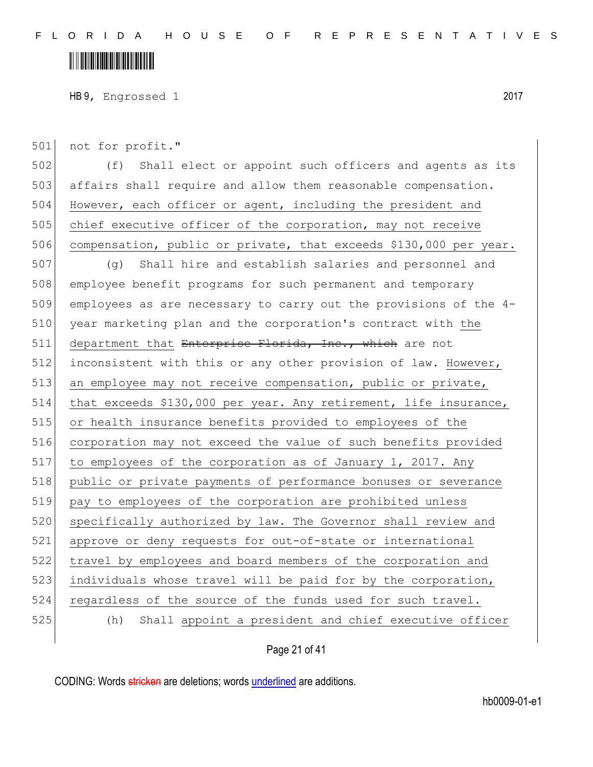HB 9, Engrossed 1 2017

501 not for profit."

502 (f) Shall elect or appoint such officers and agents as its 503 affairs shall require and allow them reasonable compensation. 504 However, each officer or agent, including the president and 505 chief executive officer of the corporation, may not receive 506 compensation, public or private, that exceeds \$130,000 per year.

507 (g) Shall hire and establish salaries and personnel and 508 employee benefit programs for such permanent and temporary 509 employees as are necessary to carry out the provisions of the 4- 510 year marketing plan and the corporation's contract with the 511 department that Enterprise Florida, Inc., which are not 512 inconsistent with this or any other provision of law. However, 513 an employee may not receive compensation, public or private, 514 that exceeds \$130,000 per year. Any retirement, life insurance, 515 or health insurance benefits provided to employees of the 516 corporation may not exceed the value of such benefits provided 517 to employees of the corporation as of January 1, 2017. Any 518 public or private payments of performance bonuses or severance 519 pay to employees of the corporation are prohibited unless 520 specifically authorized by law. The Governor shall review and 521 approve or deny requests for out-of-state or international 522 travel by employees and board members of the corporation and 523 individuals whose travel will be paid for by the corporation, 524 regardless of the source of the funds used for such travel. 525 (h) Shall appoint a president and chief executive officer

Page 21 of 41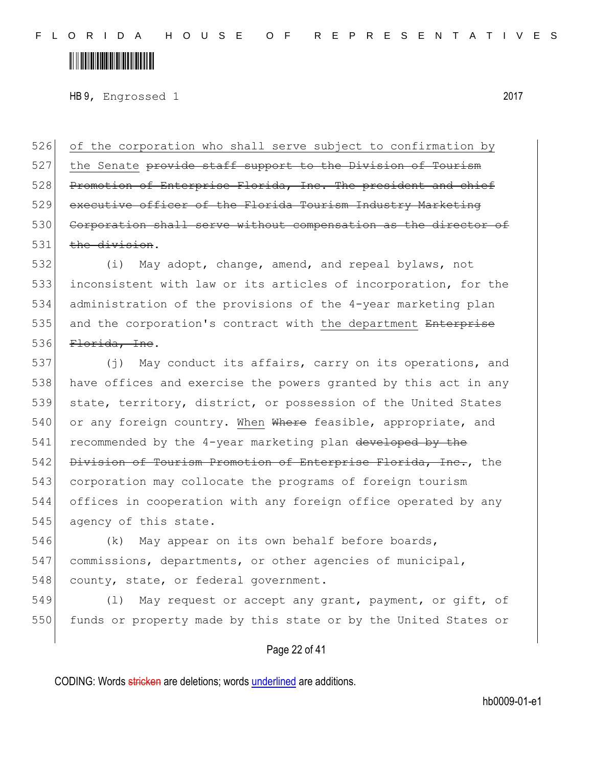### <u> Alban Martin Alban Martin Sa</u>

HB 9, Engrossed 1 2017

526 of the corporation who shall serve subject to confirmation by 527 the Senate provide staff support to the Division of Tourism 528 Promotion of Enterprise Florida, Inc. The president and chief 529 executive officer of the Florida Tourism Industry Marketing 530 Corporation shall serve without compensation as the director of  $531$  the division.

 (i) May adopt, change, amend, and repeal bylaws, not inconsistent with law or its articles of incorporation, for the administration of the provisions of the 4-year marketing plan 535 and the corporation's contract with the department Enterprise Florida, Inc.

537 (j) May conduct its affairs, carry on its operations, and 538 have offices and exercise the powers granted by this act in any 539 state, territory, district, or possession of the United States 540 or any foreign country. When Where feasible, appropriate, and 541 recommended by the 4-year marketing plan developed by the 542 Division of Tourism Promotion of Enterprise Florida, Inc., the 543 corporation may collocate the programs of foreign tourism 544 offices in cooperation with any foreign office operated by any 545 agency of this state.

546 (k) May appear on its own behalf before boards, 547 commissions, departments, or other agencies of municipal, 548 county, state, or federal government.

549 (1) May request or accept any grant, payment, or gift, of 550 funds or property made by this state or by the United States or

#### Page 22 of 41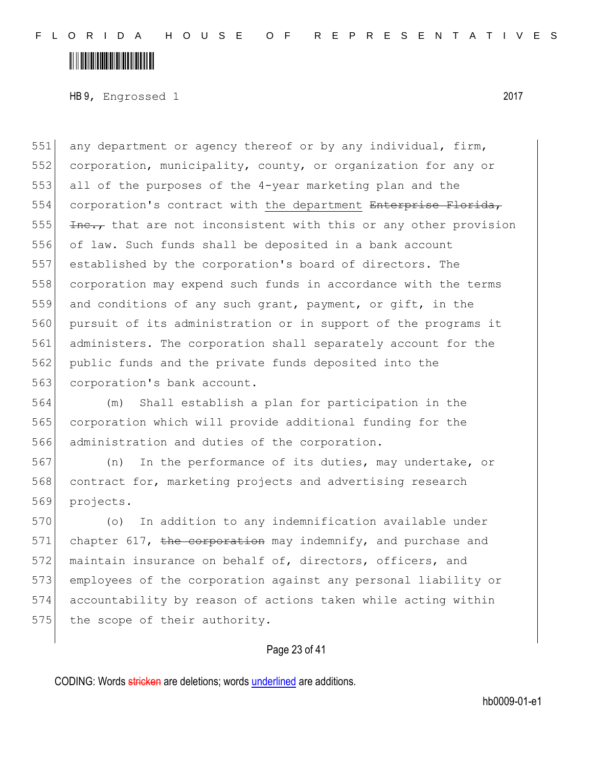### <u> III III III III III III III III II</u>

HB 9, Engrossed 1 2017

551 any department or agency thereof or by any individual, firm, 552 corporation, municipality, county, or organization for any or all of the purposes of the 4-year marketing plan and the 554 corporation's contract with the department Enterprise Florida,  $\frac{1}{2}$   $\frac{1}{2}$  that are not inconsistent with this or any other provision of law. Such funds shall be deposited in a bank account established by the corporation's board of directors. The corporation may expend such funds in accordance with the terms and conditions of any such grant, payment, or gift, in the pursuit of its administration or in support of the programs it administers. The corporation shall separately account for the public funds and the private funds deposited into the 563 corporation's bank account.

564 (m) Shall establish a plan for participation in the 565 corporation which will provide additional funding for the 566 administration and duties of the corporation.

567 (n) In the performance of its duties, may undertake, or 568 contract for, marketing projects and advertising research 569 projects.

570 (o) In addition to any indemnification available under 571 chapter 617, the corporation may indemnify, and purchase and 572 maintain insurance on behalf of, directors, officers, and 573 employees of the corporation against any personal liability or 574 accountability by reason of actions taken while acting within 575 the scope of their authority.

#### Page 23 of 41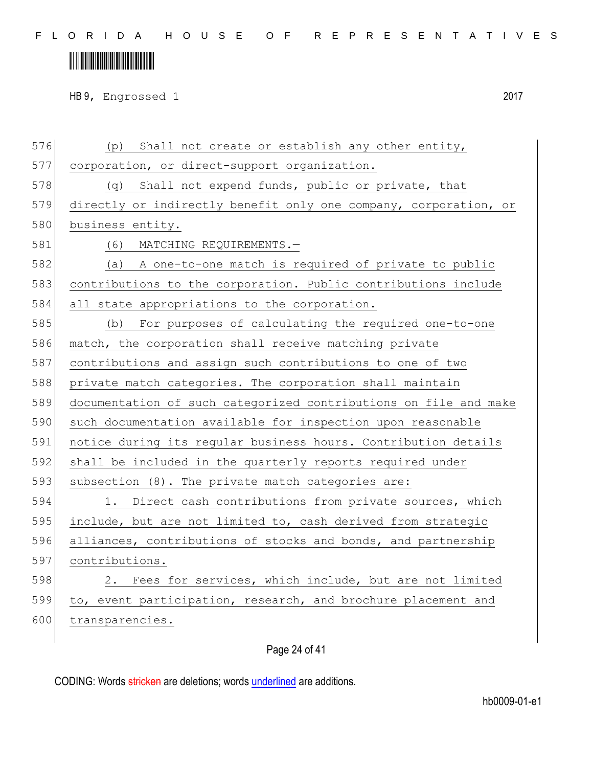## 

HB 9, Engrossed 1 2017

| 576 | (p) Shall not create or establish any other entity,              |
|-----|------------------------------------------------------------------|
| 577 | corporation, or direct-support organization.                     |
| 578 | (q) Shall not expend funds, public or private, that              |
| 579 | directly or indirectly benefit only one company, corporation, or |
| 580 | business entity.                                                 |
| 581 | (6)<br>MATCHING REQUIREMENTS.-                                   |
| 582 | (a) A one-to-one match is required of private to public          |
| 583 | contributions to the corporation. Public contributions include   |
| 584 | all state appropriations to the corporation.                     |
| 585 | (b) For purposes of calculating the required one-to-one          |
| 586 | match, the corporation shall receive matching private            |
| 587 | contributions and assign such contributions to one of two        |
| 588 | private match categories. The corporation shall maintain         |
| 589 | documentation of such categorized contributions on file and make |
| 590 | such documentation available for inspection upon reasonable      |
| 591 | notice during its regular business hours. Contribution details   |
| 592 | shall be included in the quarterly reports required under        |
| 593 | subsection (8). The private match categories are:                |
| 594 | 1. Direct cash contributions from private sources, which         |
| 595 | include, but are not limited to, cash derived from strategic     |
| 596 | alliances, contributions of stocks and bonds, and partnership    |
| 597 | contributions.                                                   |
| 598 | Fees for services, which include, but are not limited<br>2.      |
| 599 | to, event participation, research, and brochure placement and    |
| 600 | transparencies.                                                  |
|     |                                                                  |

#### Page 24 of 41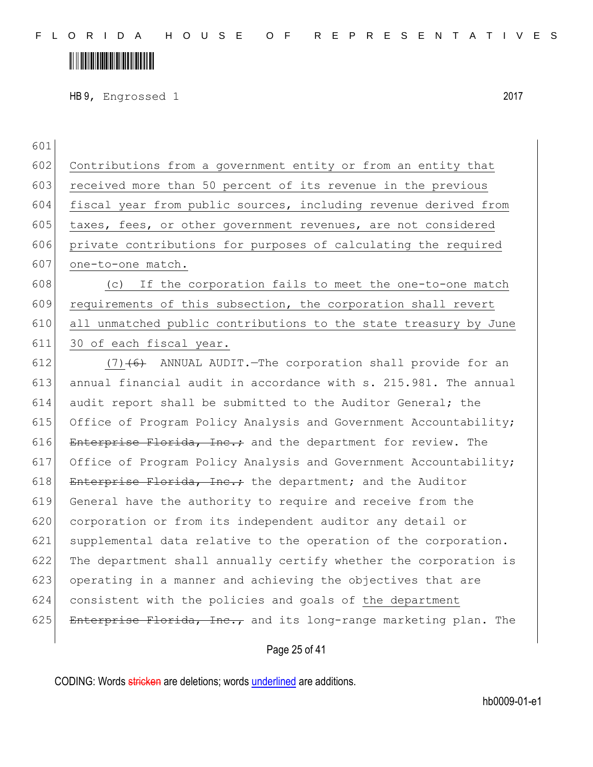## 

HB 9, Engrossed 1 2017

| 601 |                                                                  |
|-----|------------------------------------------------------------------|
| 602 | Contributions from a government entity or from an entity that    |
| 603 | received more than 50 percent of its revenue in the previous     |
| 604 | fiscal year from public sources, including revenue derived from  |
| 605 | taxes, fees, or other government revenues, are not considered    |
| 606 | private contributions for purposes of calculating the required   |
| 607 | one-to-one match.                                                |
| 608 | If the corporation fails to meet the one-to-one match<br>(C)     |
| 609 | requirements of this subsection, the corporation shall revert    |
| 610 | all unmatched public contributions to the state treasury by June |
| 611 | 30 of each fiscal year.                                          |
| 612 | $(7)$ +6+ ANNUAL AUDIT. The corporation shall provide for an     |
| 613 | annual financial audit in accordance with s. 215.981. The annual |
| 614 | audit report shall be submitted to the Auditor General; the      |
| 615 | Office of Program Policy Analysis and Government Accountability; |
| 616 | Enterprise Florida, Inc.; and the department for review. The     |
| 617 | Office of Program Policy Analysis and Government Accountability; |
| 618 | Enterprise Florida, Inc.; the department; and the Auditor        |
| 619 | General have the authority to require and receive from the       |
| 620 | corporation or from its independent auditor any detail or        |
| 621 | supplemental data relative to the operation of the corporation.  |
| 622 | The department shall annually certify whether the corporation is |
| 623 | operating in a manner and achieving the objectives that are      |
| 624 | consistent with the policies and goals of the department         |
| 625 | Enterprise Florida, Inc., and its long-range marketing plan. The |
|     |                                                                  |

Page 25 of 41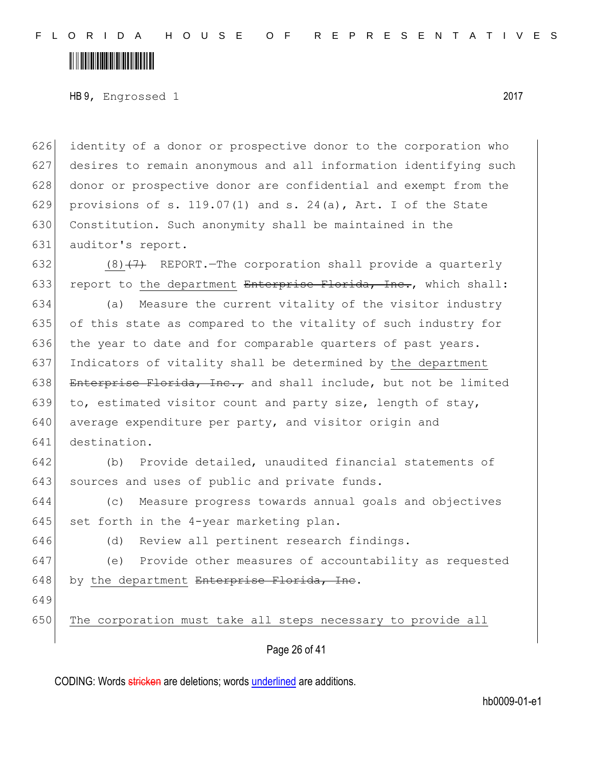### <u> III III III III III III III III II</u>

HB 9, Engrossed 1 2017

 identity of a donor or prospective donor to the corporation who desires to remain anonymous and all information identifying such donor or prospective donor are confidential and exempt from the 629 provisions of s. 119.07(1) and s. 24(a), Art. I of the State 630 Constitution. Such anonymity shall be maintained in the auditor's report.

632 (8) $(7)$  REPORT. The corporation shall provide a quarterly 633 report to the department Enterprise Florida, Inc., which shall:

634 (a) Measure the current vitality of the visitor industry 635 of this state as compared to the vitality of such industry for 636 the year to date and for comparable quarters of past years. 637 Indicators of vitality shall be determined by the department 638 Enterprise Florida, Inc., and shall include, but not be limited 639 to, estimated visitor count and party size, length of stay, 640 average expenditure per party, and visitor origin and 641 destination.

642 (b) Provide detailed, unaudited financial statements of 643 sources and uses of public and private funds.

644 (c) Measure progress towards annual goals and objectives 645 set forth in the 4-year marketing plan.

646 (d) Review all pertinent research findings.

647 (e) Provide other measures of accountability as requested 648 by the department Enterprise Florida, Inc.

649

650 The corporation must take all steps necessary to provide all

Page 26 of 41

CODING: Words stricken are deletions; words underlined are additions.

hb0009-01-e1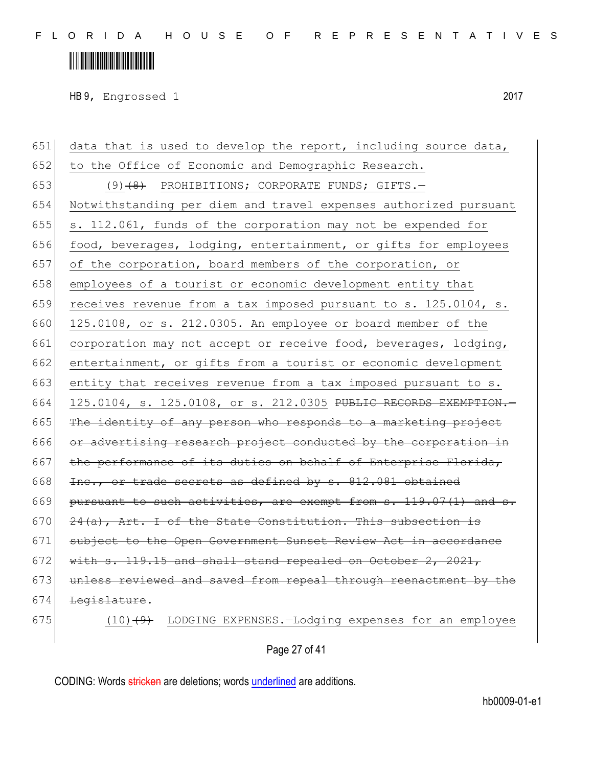HB 9, Engrossed 1 2017

651 data that is used to develop the report, including source data, 652 to the Office of Economic and Demographic Research. 653 (9)<del>(8)</del> PROHIBITIONS; CORPORATE FUNDS; GIFTS. 654 Notwithstanding per diem and travel expenses authorized pursuant 655 s. 112.061, funds of the corporation may not be expended for 656 food, beverages, lodging, entertainment, or gifts for employees 657 of the corporation, board members of the corporation, or 658 employees of a tourist or economic development entity that 659 receives revenue from a tax imposed pursuant to s. 125.0104, s. 660 125.0108, or s. 212.0305. An employee or board member of the 661 corporation may not accept or receive food, beverages, lodging, 662 entertainment, or gifts from a tourist or economic development 663 entity that receives revenue from a tax imposed pursuant to s. 664 125.0104, s. 125.0108, or s. 212.0305 PUBLIC RECORDS EXEMPTION. 665 The identity of any person who responds to a marketing project 666 or advertising research project conducted by the corporation in 667 the performance of its duties on behalf of Enterprise Florida, 668 Inc., or trade secrets as defined by  $s. 812.081$  obtained 669 pursuant to such activities, are exempt from  $s$ . 119.07(1) and  $s$ . 670  $\left| \frac{24(a)}{24(b)} \right|$ , Art. I of the State Constitution. This subsection is 671 subject to the Open Government Sunset Review Act in accordance 672 with s. 119.15 and shall stand repealed on October 2, 2021, 673 unless reviewed and saved from repeal through reenactment by the 674 Legislature. 675  $(10)$   $(9)$  LODGING EXPENSES. -Lodging expenses for an employee

Page 27 of 41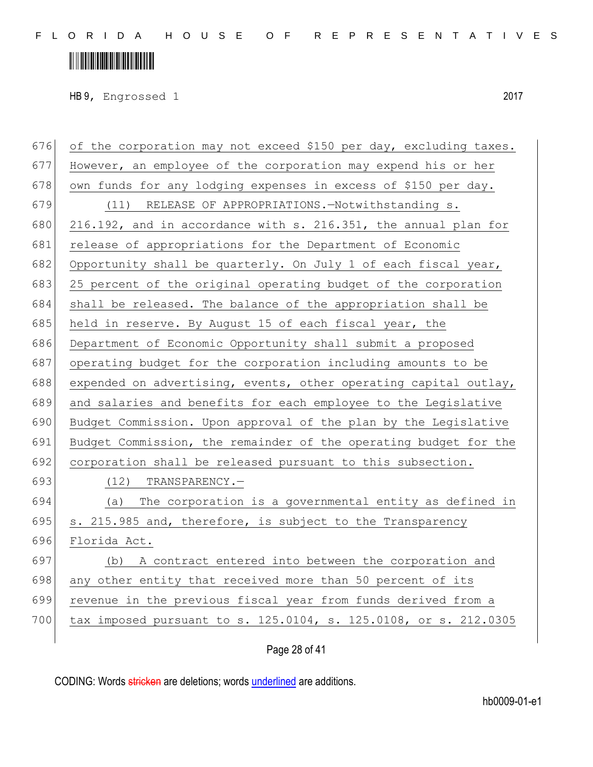# 

HB 9, Engrossed 1 2017

| 676 | of the corporation may not exceed \$150 per day, excluding taxes. |
|-----|-------------------------------------------------------------------|
| 677 | However, an employee of the corporation may expend his or her     |
| 678 | own funds for any lodging expenses in excess of \$150 per day.    |
| 679 | (11) RELEASE OF APPROPRIATIONS.-Notwithstanding s.                |
| 680 | 216.192, and in accordance with s. 216.351, the annual plan for   |
| 681 | release of appropriations for the Department of Economic          |
| 682 | Opportunity shall be quarterly. On July 1 of each fiscal year,    |
| 683 | 25 percent of the original operating budget of the corporation    |
| 684 | shall be released. The balance of the appropriation shall be      |
| 685 | held in reserve. By August 15 of each fiscal year, the            |
| 686 | Department of Economic Opportunity shall submit a proposed        |
| 687 | operating budget for the corporation including amounts to be      |
| 688 | expended on advertising, events, other operating capital outlay,  |
| 689 | and salaries and benefits for each employee to the Legislative    |
| 690 | Budget Commission. Upon approval of the plan by the Legislative   |
| 691 | Budget Commission, the remainder of the operating budget for the  |
| 692 | corporation shall be released pursuant to this subsection.        |
| 693 | $(12)$ TRANSPARENCY.-                                             |
| 694 | (a) The corporation is a governmental entity as defined in        |
| 695 | s. 215.985 and, therefore, is subject to the Transparency         |
| 696 | Florida Act.                                                      |
| 697 | (b) A contract entered into between the corporation and           |
| 698 | any other entity that received more than 50 percent of its        |
| 699 | revenue in the previous fiscal year from funds derived from a     |
| 700 | tax imposed pursuant to s. 125.0104, s. 125.0108, or s. 212.0305  |
|     |                                                                   |

#### Page 28 of 41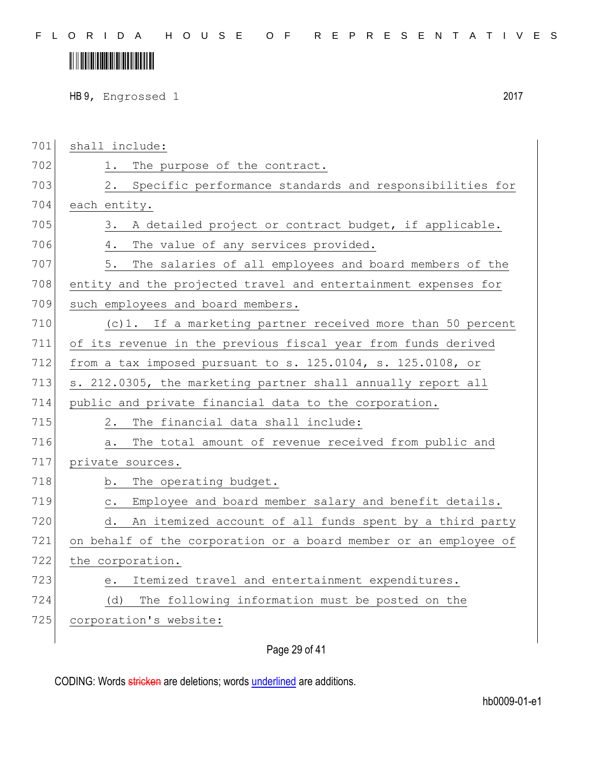# 

HB 9, Engrossed 1 2017

| 701 | shall include:                                                          |
|-----|-------------------------------------------------------------------------|
| 702 | The purpose of the contract.<br>1.                                      |
| 703 | Specific performance standards and responsibilities for<br>2.           |
| 704 | each entity.                                                            |
| 705 | A detailed project or contract budget, if applicable.<br>3.             |
| 706 | The value of any services provided.<br>4.                               |
| 707 | The salaries of all employees and board members of the<br>5.            |
| 708 | entity and the projected travel and entertainment expenses for          |
| 709 | such employees and board members.                                       |
| 710 | (c)1. If a marketing partner received more than 50 percent              |
| 711 | of its revenue in the previous fiscal year from funds derived           |
| 712 | from a tax imposed pursuant to s. 125.0104, s. 125.0108, or             |
| 713 | s. 212.0305, the marketing partner shall annually report all            |
| 714 | public and private financial data to the corporation.                   |
| 715 | The financial data shall include:<br>2.                                 |
| 716 | The total amount of revenue received from public and<br>a.              |
| 717 | private sources.                                                        |
| 718 | The operating budget.<br>b.                                             |
| 719 | Employee and board member salary and benefit details.<br>$\mathtt{C}$ . |
| 720 | An itemized account of all funds spent by a third party<br>d.           |
| 721 | on behalf of the corporation or a board member or an employee of        |
| 722 | the corporation.                                                        |
| 723 | Itemized travel and entertainment expenditures.<br>e.                   |
| 724 | The following information must be posted on the<br>(d)                  |
| 725 | corporation's website:                                                  |
|     |                                                                         |

Page 29 of 41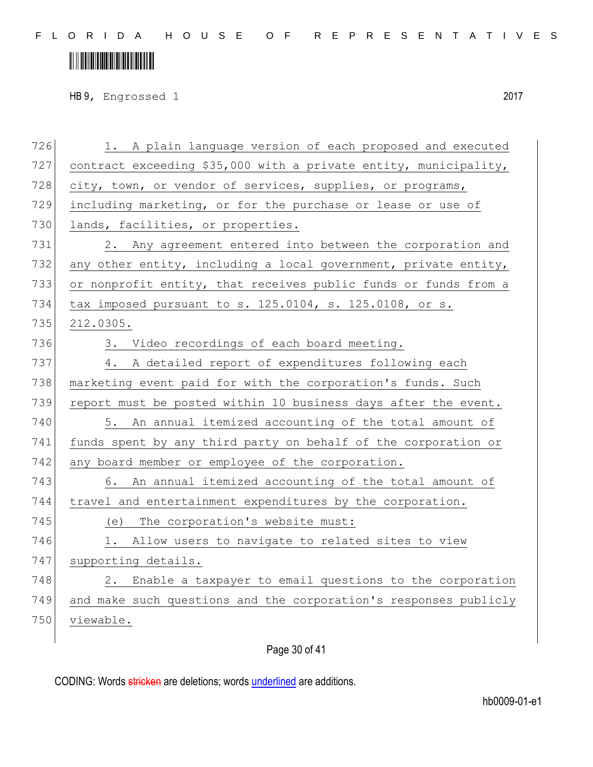# 

HB 9, Engrossed 1 2017

| 726 | A plain language version of each proposed and executed<br>1.     |
|-----|------------------------------------------------------------------|
| 727 | contract exceeding \$35,000 with a private entity, municipality, |
| 728 | city, town, or vendor of services, supplies, or programs,        |
| 729 | including marketing, or for the purchase or lease or use of      |
| 730 | lands, facilities, or properties.                                |
| 731 | 2. Any agreement entered into between the corporation and        |
| 732 | any other entity, including a local government, private entity,  |
| 733 | or nonprofit entity, that receives public funds or funds from a  |
| 734 | tax imposed pursuant to s. 125.0104, s. 125.0108, or s.          |
| 735 | 212.0305.                                                        |
| 736 | 3. Video recordings of each board meeting.                       |
| 737 | 4. A detailed report of expenditures following each              |
| 738 | marketing event paid for with the corporation's funds. Such      |
| 739 | report must be posted within 10 business days after the event.   |
| 740 | An annual itemized accounting of the total amount of<br>5.       |
| 741 | funds spent by any third party on behalf of the corporation or   |
| 742 | any board member or employee of the corporation.                 |
| 743 | 6. An annual itemized accounting of the total amount of          |
| 744 | travel and entertainment expenditures by the corporation.        |
| 745 | The corporation's website must:<br>(e)                           |
| 746 | Allow users to navigate to related sites to view<br>1.           |
| 747 | supporting details.                                              |
| 748 | Enable a taxpayer to email questions to the corporation<br>2.    |
| 749 | and make such questions and the corporation's responses publicly |
| 750 | viewable.                                                        |
|     |                                                                  |

#### Page 30 of 41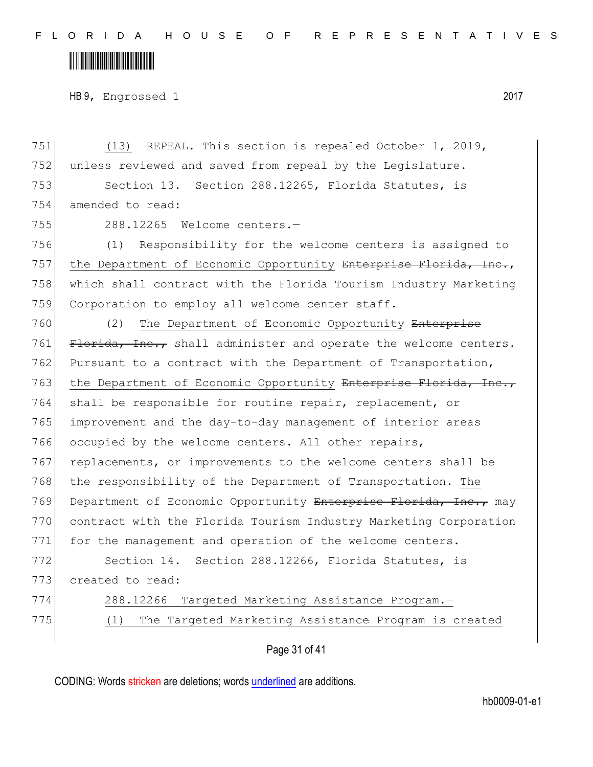### <u> III III III III III III III III II</u>

HB 9, Engrossed 1 2017

751 (13) REPEAL.—This section is repealed October 1, 2019, 752 unless reviewed and saved from repeal by the Legislature. 753 Section 13. Section 288.12265, Florida Statutes, is 754 amended to read: 755 288.12265 Welcome centers.— 756 (1) Responsibility for the welcome centers is assigned to 757 the Department of Economic Opportunity Enterprise Florida, Inc., 758 which shall contract with the Florida Tourism Industry Marketing 759 Corporation to employ all welcome center staff. 760 (2) The Department of Economic Opportunity Enterprise 761 Florida, Inc., shall administer and operate the welcome centers. 762 Pursuant to a contract with the Department of Transportation, 763 the Department of Economic Opportunity Enterprise Florida, Inc., 764 shall be responsible for routine repair, replacement, or 765 improvement and the day-to-day management of interior areas 766 occupied by the welcome centers. All other repairs, 767 replacements, or improvements to the welcome centers shall be 768 the responsibility of the Department of Transportation. The 769 Department of Economic Opportunity Enterprise Florida, Inc., may 770 contract with the Florida Tourism Industry Marketing Corporation 771 for the management and operation of the welcome centers. 772 Section 14. Section 288.12266, Florida Statutes, is 773 created to read: 774 288.12266 Targeted Marketing Assistance Program.— 775 (1) The Targeted Marketing Assistance Program is created

Page 31 of 41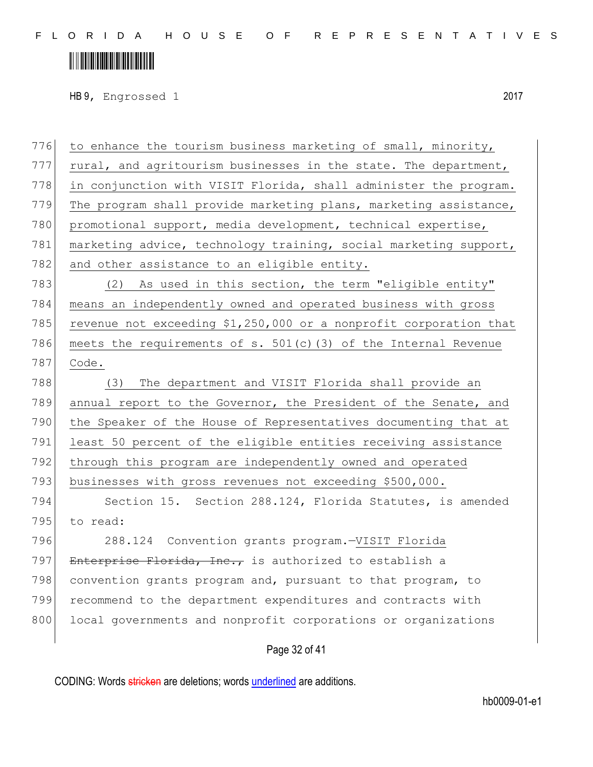## <u> III III III III III III III III II</u>

HB 9, Engrossed 1 2017

776 to enhance the tourism business marketing of small, minority, 777 rural, and agritourism businesses in the state. The department, 778 in conjunction with VISIT Florida, shall administer the program. 779 The program shall provide marketing plans, marketing assistance, 780 promotional support, media development, technical expertise, 781 marketing advice, technology training, social marketing support, 782 and other assistance to an eligible entity. 783 (2) As used in this section, the term "eligible entity" 784 means an independently owned and operated business with gross 785 revenue not exceeding  $$1,250,000$  or a nonprofit corporation that 786 meets the requirements of s.  $501(c)(3)$  of the Internal Revenue 787 Code. 788 (3) The department and VISIT Florida shall provide an 789 annual report to the Governor, the President of the Senate, and 790 the Speaker of the House of Representatives documenting that at 791 least 50 percent of the eligible entities receiving assistance 792 through this program are independently owned and operated 793 businesses with gross revenues not exceeding \$500,000. 794 Section 15. Section 288.124, Florida Statutes, is amended 795 to read: 796 288.124 Convention grants program.—VISIT Florida 797 Enterprise Florida, Inc., is authorized to establish a 798 convention grants program and, pursuant to that program, to 799 recommend to the department expenditures and contracts with 800 local governments and nonprofit corporations or organizations

#### Page 32 of 41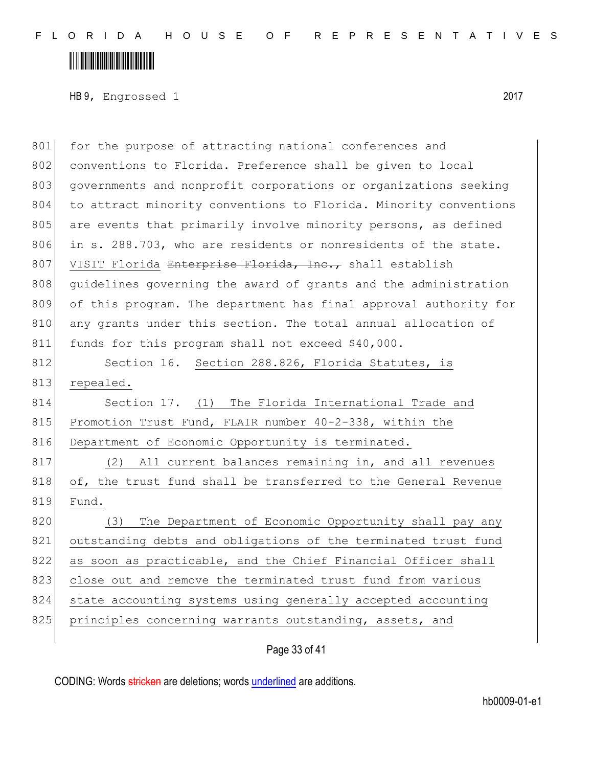## 

HB 9, Engrossed 1 2017

| 801 | for the purpose of attracting national conferences and           |
|-----|------------------------------------------------------------------|
| 802 | conventions to Florida. Preference shall be given to local       |
| 803 | governments and nonprofit corporations or organizations seeking  |
| 804 | to attract minority conventions to Florida. Minority conventions |
| 805 | are events that primarily involve minority persons, as defined   |
| 806 | in s. 288.703, who are residents or nonresidents of the state.   |
| 807 | VISIT Florida Enterprise Florida, Inc., shall establish          |
| 808 | quidelines governing the award of grants and the administration  |
| 809 | of this program. The department has final approval authority for |
| 810 | any grants under this section. The total annual allocation of    |
| 811 | funds for this program shall not exceed \$40,000.                |
| 812 | Section 16. Section 288.826, Florida Statutes, is                |
| 813 | repealed.                                                        |
| 814 | Section 17. (1) The Florida International Trade and              |
| 815 | Promotion Trust Fund, FLAIR number 40-2-338, within the          |
| 816 | Department of Economic Opportunity is terminated.                |
| 817 | All current balances remaining in, and all revenues<br>(2)       |
| 818 | of, the trust fund shall be transferred to the General Revenue   |
| 819 | Fund.                                                            |
| 820 | (3) The Department of Economic Opportunity shall pay any         |
| 821 | outstanding debts and obligations of the terminated trust fund   |
| 822 | as soon as practicable, and the Chief Financial Officer shall    |
| 823 | close out and remove the terminated trust fund from various      |
| 824 | state accounting systems using generally accepted accounting     |
| 825 | principles concerning warrants outstanding, assets, and          |
|     |                                                                  |

Page 33 of 41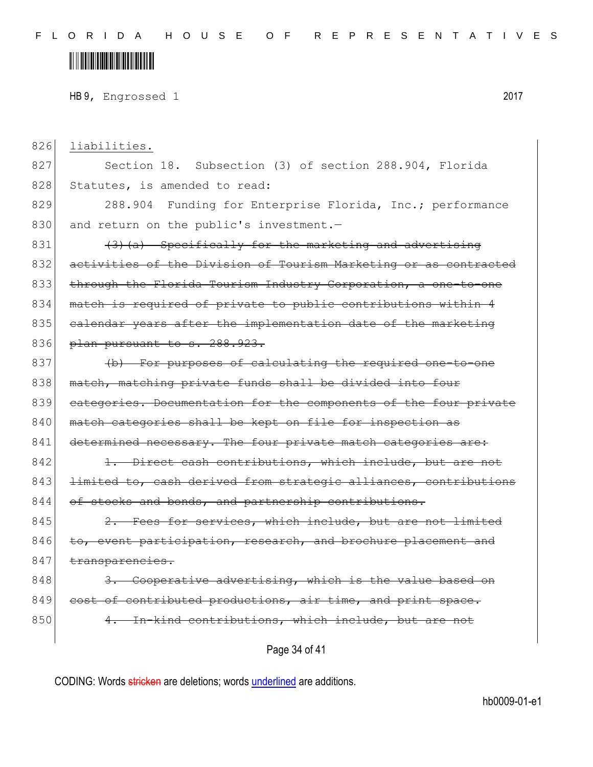## <u> III III III III III III III III II</u>

HB 9, Engrossed 1 2017

Page 34 of 41 826 liabilities. 827 Section 18. Subsection (3) of section 288.904, Florida 828 Statutes, is amended to read: 829 288.904 Funding for Enterprise Florida, Inc.; performance 830 and return on the public's investment.- $831$  (3)(a) Specifically for the marketing and advertising 832 activities of the Division of Tourism Marketing or as contracted 833 through the Florida Tourism Industry Corporation, a one-to-one 834 match is required of private to public contributions within 4 835 calendar years after the implementation date of the marketing 836 plan pursuant to s. 288.923. 837 (b) For purposes of calculating the required one-to-one 838 match, matching private funds shall be divided into four 839 categories. Documentation for the components of the four private 840 match categories shall be kept on file for inspection as 841 determined necessary. The four private match categories are: 842 1. Direct cash contributions, which include, but are not 843 <del>limited to, cash derived from strategic alliances, contributions</del>  $844$  of stocks and bonds, and partnership contributions.  $845$  2. Fees for services, which include, but are not limited 846 to, event participation, research, and brochure placement and 847 transparencies.  $848$  3. Cooperative advertising, which is the value based on 849 cost of contributed productions, air time, and print space. 850 4. In-kind contributions, which include, but are not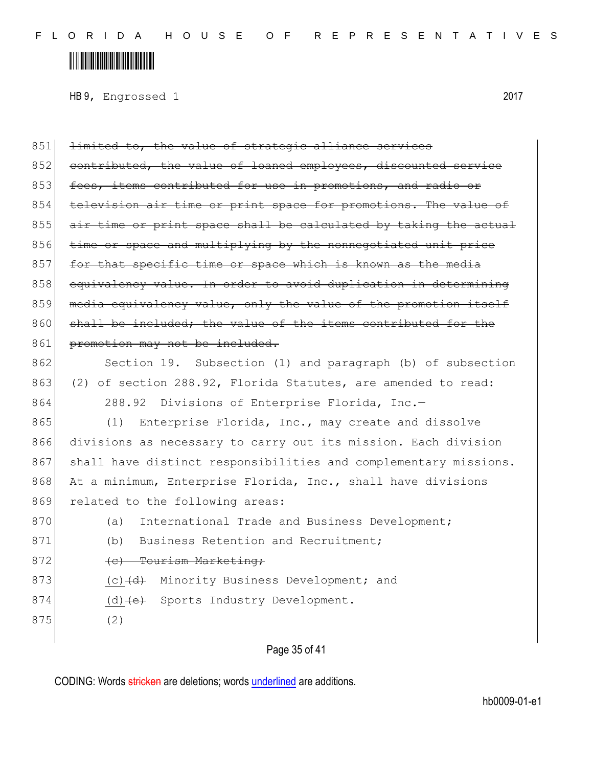# 

HB 9, Engrossed 1 2017

| 851 | limited to, the value of strategic alliance services             |
|-----|------------------------------------------------------------------|
| 852 | contributed, the value of loaned employees, discounted service   |
| 853 | fees, items contributed for use in promotions, and radio or      |
| 854 | television air time or print space for promotions. The value of  |
| 855 | air time or print space shall be calculated by taking the actual |
| 856 | time or space and multiplying by the nonnegotiated unit price    |
| 857 | for that specific time or space which is known as the media      |
| 858 | equivalency value. In order to avoid duplication in determining  |
| 859 | media equivalency value, only the value of the promotion itself  |
| 860 | shall be included; the value of the items contributed for the    |
| 861 | promotion may not be included.                                   |
| 862 | Section 19. Subsection (1) and paragraph (b) of subsection       |
| 863 | (2) of section 288.92, Florida Statutes, are amended to read:    |
| 864 | 288.92 Divisions of Enterprise Florida, Inc.-                    |
| 865 | Enterprise Florida, Inc., may create and dissolve<br>(1)         |
| 866 | divisions as necessary to carry out its mission. Each division   |
| 867 | shall have distinct responsibilities and complementary missions. |
| 868 | At a minimum, Enterprise Florida, Inc., shall have divisions     |
| 869 | related to the following areas:                                  |
| 870 | International Trade and Business Development;<br>(a)             |
| 871 | Business Retention and Recruitment;<br>(b)                       |
| 872 | (c) Tourism Marketing;                                           |
| 873 | Minority Business Development; and<br>(c) <del>(d)</del>         |
| 874 | Sports Industry Development.<br>(d) <del>(e)</del>               |
| 875 | (2)                                                              |
|     |                                                                  |

Page 35 of 41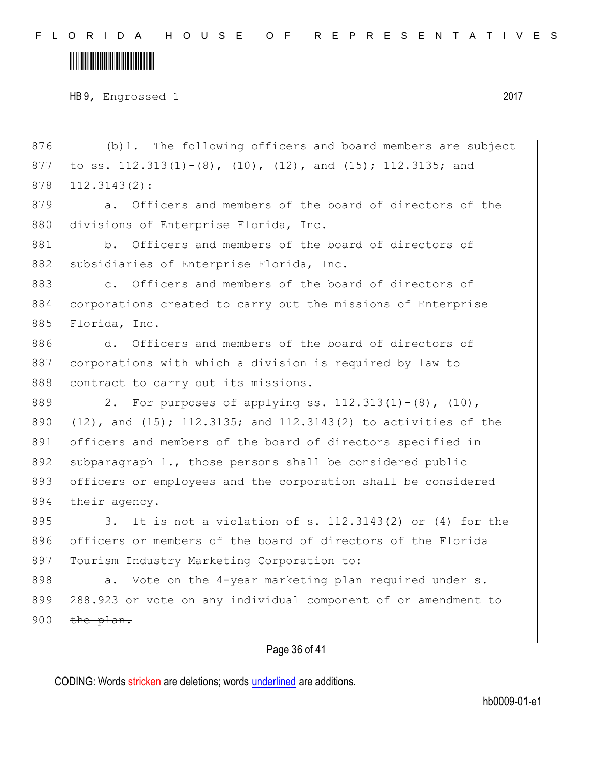#### <u> III III III III III III III III II</u>

HB 9, Engrossed 1 2017

Page 36 of 41 876 (b)1. The following officers and board members are subject 877 to ss.  $112.313(1)-(8)$ ,  $(10)$ ,  $(12)$ , and  $(15)$ ;  $112.3135$ ; and 878 112.3143(2): 879 a. Officers and members of the board of directors of the 880 divisions of Enterprise Florida, Inc. 881 b. Officers and members of the board of directors of 882 subsidiaries of Enterprise Florida, Inc. 883 c. Officers and members of the board of directors of 884 corporations created to carry out the missions of Enterprise 885 Florida, Inc. 886 d. Officers and members of the board of directors of 887 corporations with which a division is required by law to 888 contract to carry out its missions. 889 2. For purposes of applying ss.  $112.313(1) - (8)$ ,  $(10)$ , 890  $(12)$ , and  $(15)$ ; 112.3135; and 112.3143(2) to activities of the 891 officers and members of the board of directors specified in 892 subparagraph 1., those persons shall be considered public 893 officers or employees and the corporation shall be considered 894 their agency. 895  $\overline{3.}$  It is not a violation of s. 112.3143(2) or (4) for the 896 officers or members of the board of directors of the Florida 897 Tourism Industry Marketing Corporation to: 898 a. Vote on the 4-year marketing plan required under s. 899 288.923 or vote on any individual component of or amendment to  $900$  the plan.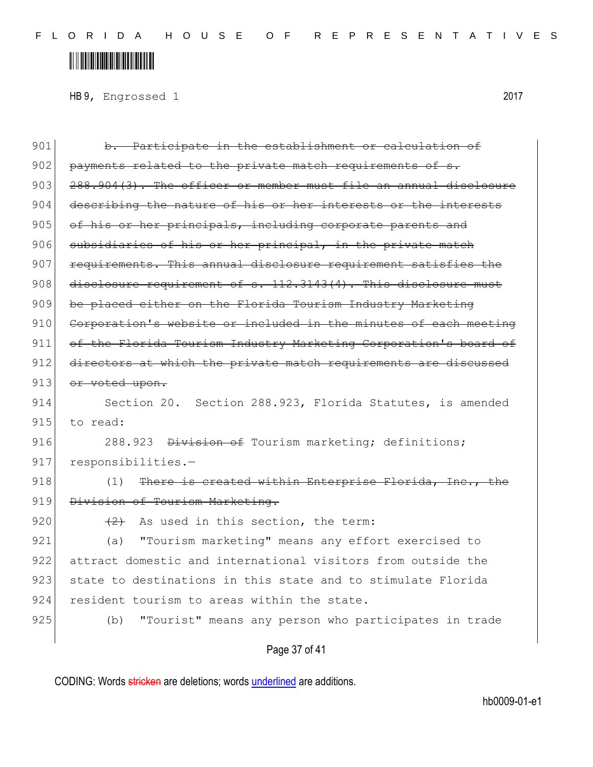HB 9, Engrossed 1 2017

901 b. Participate in the establishment or calculation of 902 payments related to the private match requirements of  $903$   $288.904(3)$ . The officer or member must file an annual disclosure 904 describing the nature of his or her interests or the interests 905 of his or her principals, including corporate parents and 906 subsidiaries of his or her principal, in the private match 907 requirements. This annual disclosure requirement satisfies the 908 disclosure requirement of s. 112.3143(4). This disclosure must 909 be placed either on the Florida Tourism Industry Marketing 910 Corporation's website or included in the minutes of each meeting 911 of the Florida Tourism Industry Marketing Corporation's board of 912 directors at which the private match requirements are discussed 913 or voted upon. 914 Section 20. Section 288.923, Florida Statutes, is amended 915 to read: 916 288.923 <del>Division of</del> Tourism marketing; definitions; 917 responsibilities.- $918$  (1) There is created within Enterprise Florida, Inc., 919 Division of Tourism Marketing. 920  $(2)$  As used in this section, the term: 921 (a) "Tourism marketing" means any effort exercised to 922 attract domestic and international visitors from outside the 923 state to destinations in this state and to stimulate Florida 924 resident tourism to areas within the state. 925 (b) "Tourist" means any person who participates in trade

#### Page 37 of 41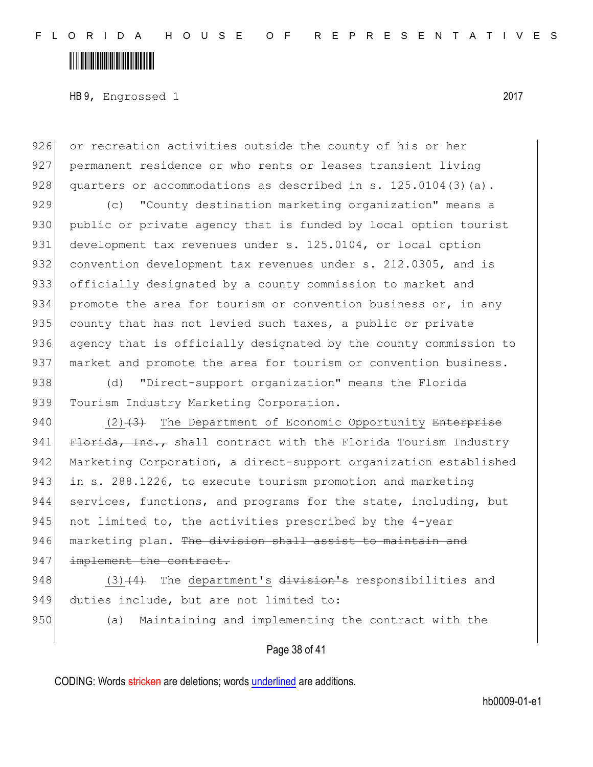## <u> III III III III III III III III II</u>

HB 9, Engrossed 1 2017

926 or recreation activities outside the county of his or her 927 permanent residence or who rents or leases transient living 928 quarters or accommodations as described in s.  $125.0104(3)(a)$ .

929 (c) "County destination marketing organization" means a 930 public or private agency that is funded by local option tourist 931 development tax revenues under s. 125.0104, or local option 932 convention development tax revenues under s. 212.0305, and is 933 officially designated by a county commission to market and 934 promote the area for tourism or convention business or, in any 935 county that has not levied such taxes, a public or private 936 agency that is officially designated by the county commission to 937 market and promote the area for tourism or convention business.

938 (d) "Direct-support organization" means the Florida 939 Tourism Industry Marketing Corporation.

940  $(2)$   $(3)$  The Department of Economic Opportunity Enterprise 941 Florida, Inc., shall contract with the Florida Tourism Industry 942 Marketing Corporation, a direct-support organization established 943 in s. 288.1226, to execute tourism promotion and marketing 944 services, functions, and programs for the state, including, but 945 not limited to, the activities prescribed by the 4-year 946 marketing plan. The division shall assist to maintain and 947 implement the contract.

948  $(3)$   $(4)$  The department's division's responsibilities and 949 duties include, but are not limited to:

950 (a) Maintaining and implementing the contract with the

#### Page 38 of 41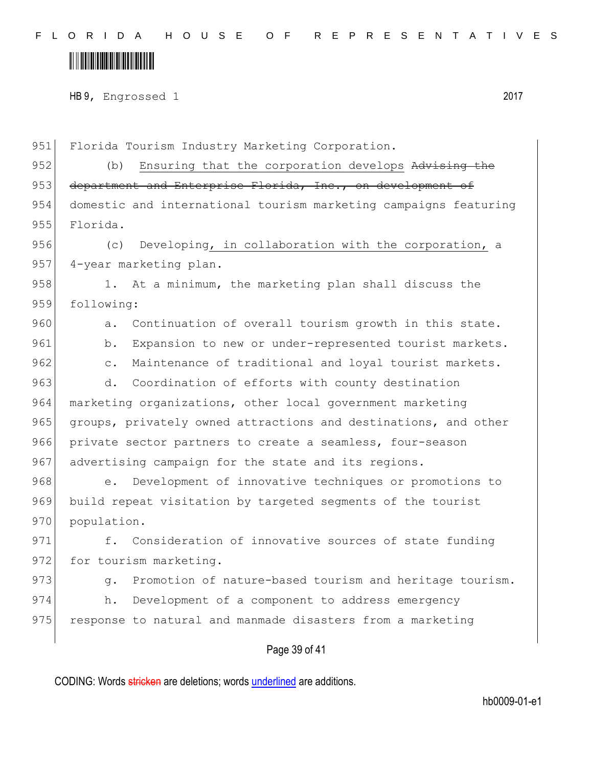HB 9, Engrossed 1 2017

Page 39 of 41 951 Florida Tourism Industry Marketing Corporation. 952 (b) Ensuring that the corporation develops Advising the 953 department and Enterprise Florida, Inc., on development of 954 domestic and international tourism marketing campaigns featuring 955 Florida. 956 (c) Developing, in collaboration with the corporation, a 957 4-year marketing plan. 958 1. At a minimum, the marketing plan shall discuss the 959 following: 960 a. Continuation of overall tourism growth in this state. 961 b. Expansion to new or under-represented tourist markets. 962 c. Maintenance of traditional and loyal tourist markets. 963 d. Coordination of efforts with county destination 964 marketing organizations, other local government marketing 965 groups, privately owned attractions and destinations, and other 966 private sector partners to create a seamless, four-season 967 advertising campaign for the state and its regions. 968 e. Development of innovative techniques or promotions to 969 build repeat visitation by targeted segments of the tourist 970 population. 971 f. Consideration of innovative sources of state funding 972 for tourism marketing. 973 g. Promotion of nature-based tourism and heritage tourism. 974 h. Development of a component to address emergency 975 response to natural and manmade disasters from a marketing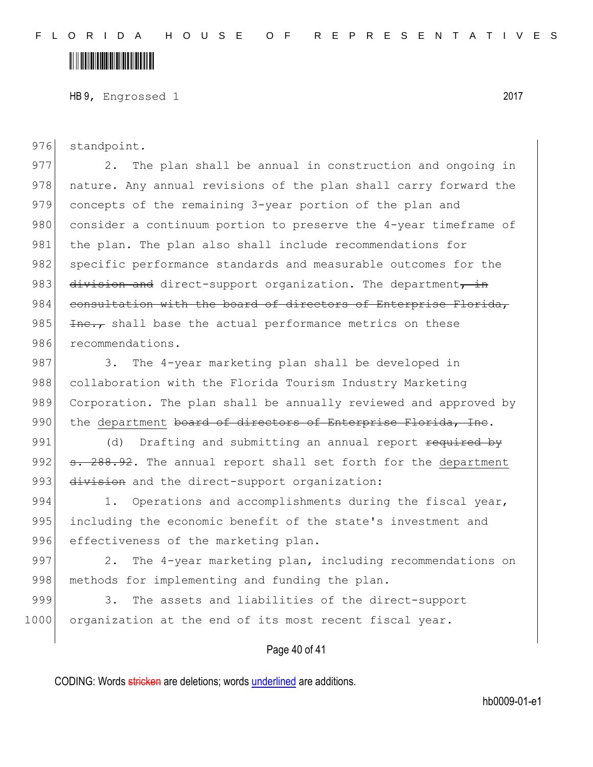HB 9, Engrossed 1 2017

976 standpoint.

977 2. The plan shall be annual in construction and ongoing in 978 | nature. Any annual revisions of the plan shall carry forward the 979 concepts of the remaining 3-year portion of the plan and 980 consider a continuum portion to preserve the 4-year timeframe of 981 the plan. The plan also shall include recommendations for 982 specific performance standards and measurable outcomes for the 983 division and direct-support organization. The department, in 984 consultation with the board of directors of Enterprise Florida, 985  $\overline{1}$   $\overline{1}$   $\overline{1}$   $\overline{1}$   $\overline{1}$   $\overline{2}$   $\overline{2}$   $\overline{2}$   $\overline{2}$  these the actual performance metrics on these 986 recommendations.

987 3. The 4-year marketing plan shall be developed in 988 collaboration with the Florida Tourism Industry Marketing 989 Corporation. The plan shall be annually reviewed and approved by 990 the department board of directors of Enterprise Florida, Inc.

991 (d) Drafting and submitting an annual report required by 992 s. 288.92. The annual report shall set forth for the department 993 division and the direct-support organization:

994 1. Operations and accomplishments during the fiscal year, 995 including the economic benefit of the state's investment and 996 effectiveness of the marketing plan.

997 2. The 4-year marketing plan, including recommendations on 998 methods for implementing and funding the plan.

999 3. The assets and liabilities of the direct-support 1000 organization at the end of its most recent fiscal year.

#### Page 40 of 41